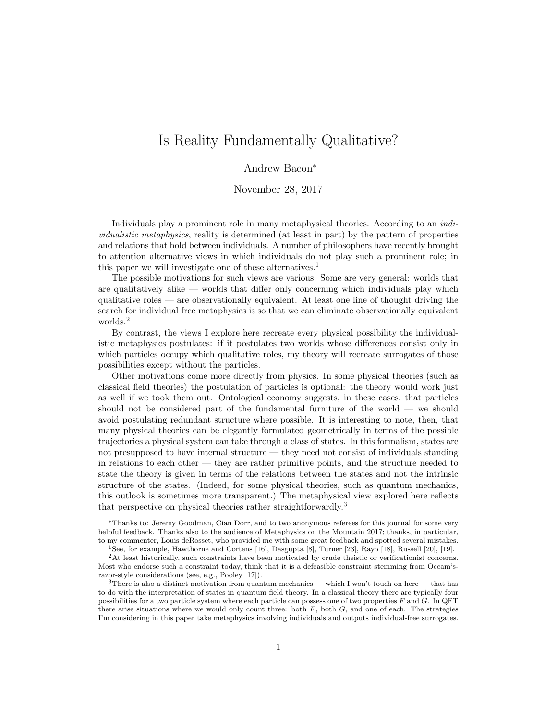# Is Reality Fundamentally Qualitative?

#### Andrew Bacon<sup>∗</sup>

#### November 28, 2017

Individuals play a prominent role in many metaphysical theories. According to an individualistic metaphysics, reality is determined (at least in part) by the pattern of properties and relations that hold between individuals. A number of philosophers have recently brought to attention alternative views in which individuals do not play such a prominent role; in this paper we will investigate one of these alternatives.<sup>1</sup>

The possible motivations for such views are various. Some are very general: worlds that are qualitatively alike — worlds that differ only concerning which individuals play which qualitative roles — are observationally equivalent. At least one line of thought driving the search for individual free metaphysics is so that we can eliminate observationally equivalent worlds.<sup>2</sup>

By contrast, the views I explore here recreate every physical possibility the individualistic metaphysics postulates: if it postulates two worlds whose differences consist only in which particles occupy which qualitative roles, my theory will recreate surrogates of those possibilities except without the particles.

Other motivations come more directly from physics. In some physical theories (such as classical field theories) the postulation of particles is optional: the theory would work just as well if we took them out. Ontological economy suggests, in these cases, that particles should not be considered part of the fundamental furniture of the world — we should avoid postulating redundant structure where possible. It is interesting to note, then, that many physical theories can be elegantly formulated geometrically in terms of the possible trajectories a physical system can take through a class of states. In this formalism, states are not presupposed to have internal structure — they need not consist of individuals standing in relations to each other — they are rather primitive points, and the structure needed to state the theory is given in terms of the relations between the states and not the intrinsic structure of the states. (Indeed, for some physical theories, such as quantum mechanics, this outlook is sometimes more transparent.) The metaphysical view explored here reflects that perspective on physical theories rather straightforwardly.<sup>3</sup>

<sup>∗</sup>Thanks to: Jeremy Goodman, Cian Dorr, and to two anonymous referees for this journal for some very helpful feedback. Thanks also to the audience of Metaphysics on the Mountain 2017; thanks, in particular, to my commenter, Louis deRosset, who provided me with some great feedback and spotted several mistakes.

<sup>1</sup>See, for example, Hawthorne and Cortens [16], Dasgupta [8], Turner [23], Rayo [18], Russell [20], [19]. <sup>2</sup>At least historically, such constraints have been motivated by crude theistic or verificationist concerns.

Most who endorse such a constraint today, think that it is a defeasible constraint stemming from Occam'srazor-style considerations (see, e.g., Pooley [17]).

 $3$ There is also a distinct motivation from quantum mechanics — which I won't touch on here — that has to do with the interpretation of states in quantum field theory. In a classical theory there are typically four possibilities for a two particle system where each particle can possess one of two properties  $F$  and  $G$ . In QFT there arise situations where we would only count three: both  $F$ , both  $G$ , and one of each. The strategies I'm considering in this paper take metaphysics involving individuals and outputs individual-free surrogates.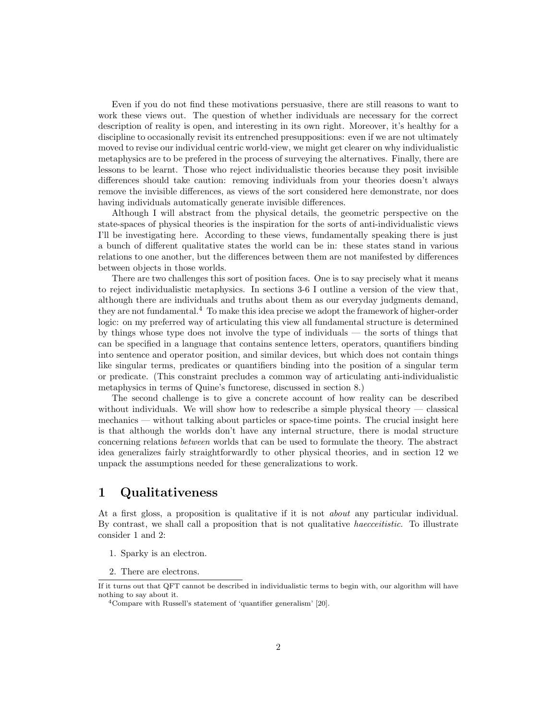Even if you do not find these motivations persuasive, there are still reasons to want to work these views out. The question of whether individuals are necessary for the correct description of reality is open, and interesting in its own right. Moreover, it's healthy for a discipline to occasionally revisit its entrenched presuppositions: even if we are not ultimately moved to revise our individual centric world-view, we might get clearer on why individualistic metaphysics are to be prefered in the process of surveying the alternatives. Finally, there are lessons to be learnt. Those who reject individualistic theories because they posit invisible differences should take caution: removing individuals from your theories doesn't always remove the invisible differences, as views of the sort considered here demonstrate, nor does having individuals automatically generate invisible differences.

Although I will abstract from the physical details, the geometric perspective on the state-spaces of physical theories is the inspiration for the sorts of anti-individualistic views I'll be investigating here. According to these views, fundamentally speaking there is just a bunch of different qualitative states the world can be in: these states stand in various relations to one another, but the differences between them are not manifested by differences between objects in those worlds.

There are two challenges this sort of position faces. One is to say precisely what it means to reject individualistic metaphysics. In sections 3-6 I outline a version of the view that, although there are individuals and truths about them as our everyday judgments demand, they are not fundamental.<sup>4</sup> To make this idea precise we adopt the framework of higher-order logic: on my preferred way of articulating this view all fundamental structure is determined by things whose type does not involve the type of individuals — the sorts of things that can be specified in a language that contains sentence letters, operators, quantifiers binding into sentence and operator position, and similar devices, but which does not contain things like singular terms, predicates or quantifiers binding into the position of a singular term or predicate. (This constraint precludes a common way of articulating anti-individualistic metaphysics in terms of Quine's functorese, discussed in section 8.)

The second challenge is to give a concrete account of how reality can be described without individuals. We will show how to redescribe a simple physical theory  $-$  classical mechanics — without talking about particles or space-time points. The crucial insight here is that although the worlds don't have any internal structure, there is modal structure concerning relations between worlds that can be used to formulate the theory. The abstract idea generalizes fairly straightforwardly to other physical theories, and in section 12 we unpack the assumptions needed for these generalizations to work.

# 1 Qualitativeness

At a first gloss, a proposition is qualitative if it is not *about* any particular individual. By contrast, we shall call a proposition that is not qualitative *haecceitistic*. To illustrate consider 1 and 2:

- 1. Sparky is an electron.
- 2. There are electrons.

If it turns out that QFT cannot be described in individualistic terms to begin with, our algorithm will have nothing to say about it.

 $4^4$ Compare with Russell's statement of 'quantifier generalism' [20].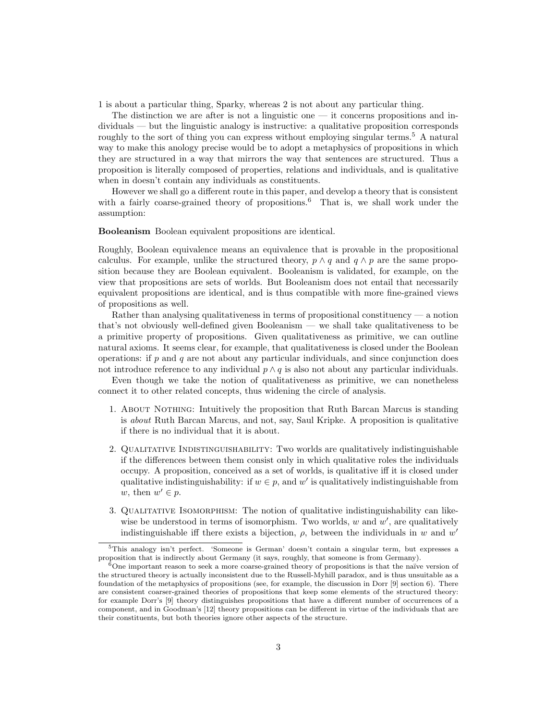1 is about a particular thing, Sparky, whereas 2 is not about any particular thing.

The distinction we are after is not a linguistic one — it concerns propositions and individuals — but the linguistic analogy is instructive: a qualitative proposition corresponds roughly to the sort of thing you can express without employing singular terms.<sup>5</sup> A natural way to make this anology precise would be to adopt a metaphysics of propositions in which they are structured in a way that mirrors the way that sentences are structured. Thus a proposition is literally composed of properties, relations and individuals, and is qualitative when in doesn't contain any individuals as constituents.

However we shall go a different route in this paper, and develop a theory that is consistent with a fairly coarse-grained theory of propositions.<sup>6</sup> That is, we shall work under the assumption:

Booleanism Boolean equivalent propositions are identical.

Roughly, Boolean equivalence means an equivalence that is provable in the propositional calculus. For example, unlike the structured theory,  $p \wedge q$  and  $q \wedge p$  are the same proposition because they are Boolean equivalent. Booleanism is validated, for example, on the view that propositions are sets of worlds. But Booleanism does not entail that necessarily equivalent propositions are identical, and is thus compatible with more fine-grained views of propositions as well.

Rather than analysing qualitativeness in terms of propositional constituency — a notion that's not obviously well-defined given Booleanism — we shall take qualitativeness to be a primitive property of propositions. Given qualitativeness as primitive, we can outline natural axioms. It seems clear, for example, that qualitativeness is closed under the Boolean operations: if  $p$  and  $q$  are not about any particular individuals, and since conjunction does not introduce reference to any individual  $p \wedge q$  is also not about any particular individuals.

Even though we take the notion of qualitativeness as primitive, we can nonetheless connect it to other related concepts, thus widening the circle of analysis.

- 1. About Nothing: Intuitively the proposition that Ruth Barcan Marcus is standing is about Ruth Barcan Marcus, and not, say, Saul Kripke. A proposition is qualitative if there is no individual that it is about.
- 2. Qualitative Indistinguishability: Two worlds are qualitatively indistinguishable if the differences between them consist only in which qualitative roles the individuals occupy. A proposition, conceived as a set of worlds, is qualitative iff it is closed under qualitative indistinguishability: if  $w \in p$ , and  $w'$  is qualitatively indistinguishable from w, then  $w' \in p$ .
- 3. Qualitative Isomorphism: The notion of qualitative indistinguishability can likewise be understood in terms of isomorphism. Two worlds,  $w$  and  $w'$ , are qualitatively indistinguishable iff there exists a bijection,  $\rho$ , between the individuals in w and w'

<sup>5</sup>This analogy isn't perfect. 'Someone is German' doesn't contain a singular term, but expresses a proposition that is indirectly about Germany (it says, roughly, that someone is from Germany).

 $6$ One important reason to seek a more coarse-grained theory of propositions is that the naïve version of the structured theory is actually inconsistent due to the Russell-Myhill paradox, and is thus unsuitable as a foundation of the metaphysics of propositions (see, for example, the discussion in Dorr [9] section 6). There are consistent coarser-grained theories of propositions that keep some elements of the structured theory: for example Dorr's [9] theory distinguishes propositions that have a different number of occurrences of a component, and in Goodman's [12] theory propositions can be different in virtue of the individuals that are their constituents, but both theories ignore other aspects of the structure.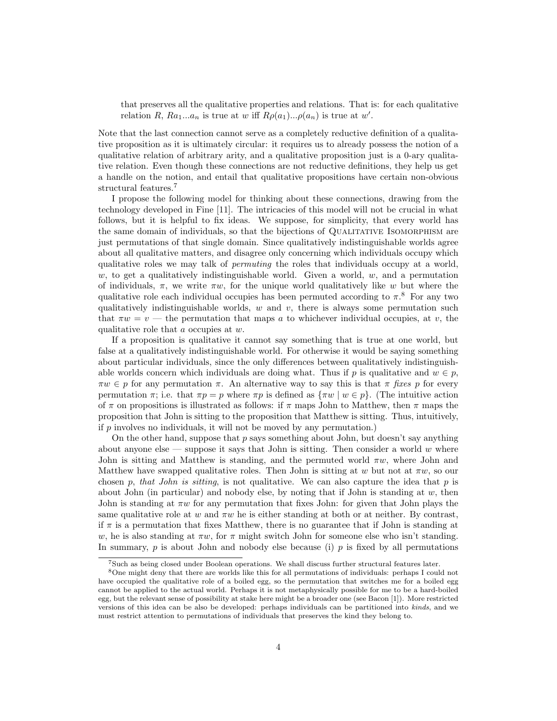that preserves all the qualitative properties and relations. That is: for each qualitative relation R,  $Ra_1...a_n$  is true at w iff  $R\rho(a_1)... \rho(a_n)$  is true at w'.

Note that the last connection cannot serve as a completely reductive definition of a qualitative proposition as it is ultimately circular: it requires us to already possess the notion of a qualitative relation of arbitrary arity, and a qualitative proposition just is a 0-ary qualitative relation. Even though these connections are not reductive definitions, they help us get a handle on the notion, and entail that qualitative propositions have certain non-obvious structural features.<sup>7</sup>

I propose the following model for thinking about these connections, drawing from the technology developed in Fine [11]. The intricacies of this model will not be crucial in what follows, but it is helpful to fix ideas. We suppose, for simplicity, that every world has the same domain of individuals, so that the bijections of QUALITATIVE ISOMORPHISM are just permutations of that single domain. Since qualitatively indistinguishable worlds agree about all qualitative matters, and disagree only concerning which individuals occupy which qualitative roles we may talk of permuting the roles that individuals occupy at a world,  $w$ , to get a qualitatively indistinguishable world. Given a world,  $w$ , and a permutation of individuals,  $\pi$ , we write  $\pi w$ , for the unique world qualitatively like w but where the qualitative role each individual occupies has been permuted according to  $\pi$ <sup>8</sup>. For any two qualitatively indistinguishable worlds,  $w$  and  $v$ , there is always some permutation such that  $\pi w = v$  — the permutation that maps a to whichever individual occupies, at v, the qualitative role that a occupies at w.

If a proposition is qualitative it cannot say something that is true at one world, but false at a qualitatively indistinguishable world. For otherwise it would be saying something about particular individuals, since the only differences between qualitatively indistinguishable worlds concern which individuals are doing what. Thus if p is qualitative and  $w \in p$ ,  $\pi w \in p$  for any permutation  $\pi$ . An alternative way to say this is that  $\pi$  fixes p for every permutation  $\pi$ ; i.e. that  $\pi p = p$  where  $\pi p$  is defined as  $\{\pi w \mid w \in p\}$ . (The intuitive action of  $\pi$  on propositions is illustrated as follows: if  $\pi$  maps John to Matthew, then  $\pi$  maps the proposition that John is sitting to the proposition that Matthew is sitting. Thus, intuitively, if p involves no individuals, it will not be moved by any permutation.)

On the other hand, suppose that  $p$  says something about John, but doesn't say anything about anyone else — suppose it says that John is sitting. Then consider a world  $w$  where John is sitting and Matthew is standing, and the permuted world  $\pi w$ , where John and Matthew have swapped qualitative roles. Then John is sitting at w but not at  $\pi w$ , so our chosen p, that John is sitting, is not qualitative. We can also capture the idea that  $p$  is about John (in particular) and nobody else, by noting that if John is standing at  $w$ , then John is standing at  $\pi w$  for any permutation that fixes John: for given that John plays the same qualitative role at w and  $\pi w$  he is either standing at both or at neither. By contrast, if  $\pi$  is a permutation that fixes Matthew, there is no guarantee that if John is standing at w, he is also standing at  $\pi w$ , for  $\pi$  might switch John for someone else who isn't standing. In summary,  $p$  is about John and nobody else because (i)  $p$  is fixed by all permutations

<sup>7</sup>Such as being closed under Boolean operations. We shall discuss further structural features later.

<sup>8</sup>One might deny that there are worlds like this for all permutations of individuals: perhaps I could not have occupied the qualitative role of a boiled egg, so the permutation that switches me for a boiled egg cannot be applied to the actual world. Perhaps it is not metaphysically possible for me to be a hard-boiled egg, but the relevant sense of possibility at stake here might be a broader one (see Bacon [1]). More restricted versions of this idea can be also be developed: perhaps individuals can be partitioned into kinds, and we must restrict attention to permutations of individuals that preserves the kind they belong to.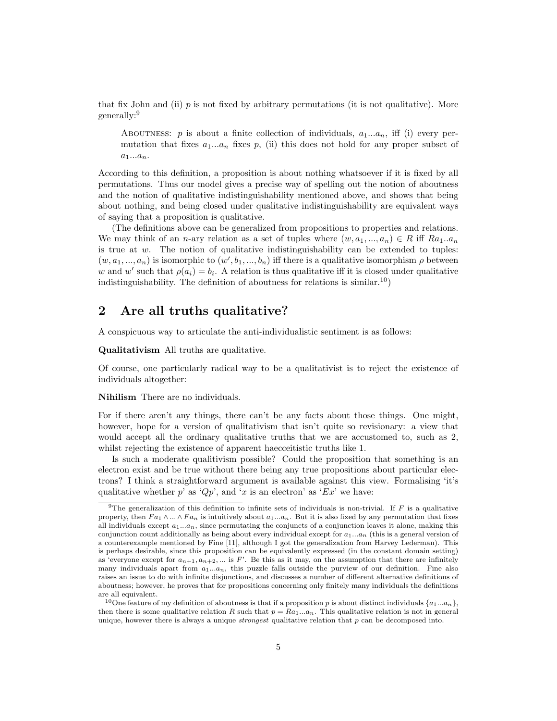that fix John and (ii)  $p$  is not fixed by arbitrary permutations (it is not qualitative). More generally:<sup>9</sup>

ABOUTNESS: p is about a finite collection of individuals,  $a_1...a_n$ , iff (i) every permutation that fixes  $a_1...a_n$  fixes p, (ii) this does not hold for any proper subset of  $a_1...a_n.$ 

According to this definition, a proposition is about nothing whatsoever if it is fixed by all permutations. Thus our model gives a precise way of spelling out the notion of aboutness and the notion of qualitative indistinguishability mentioned above, and shows that being about nothing, and being closed under qualitative indistinguishability are equivalent ways of saying that a proposition is qualitative.

(The definitions above can be generalized from propositions to properties and relations. We may think of an n-ary relation as a set of tuples where  $(w, a_1, ..., a_n) \in R$  iff  $Ra_1..a_n$ is true at  $w$ . The notion of qualitative indistinguishability can be extended to tuples:  $(w, a_1, ..., a_n)$  is isomorphic to  $(w', b_1, ..., b_n)$  iff there is a qualitative isomorphism  $\rho$  between w and w' such that  $\rho(a_i) = b_i$ . A relation is thus qualitative iff it is closed under qualitative indistinguishability. The definition of aboutness for relations is similar.<sup>10</sup>)

### 2 Are all truths qualitative?

A conspicuous way to articulate the anti-individualistic sentiment is as follows:

Qualitativism All truths are qualitative.

Of course, one particularly radical way to be a qualitativist is to reject the existence of individuals altogether:

Nihilism There are no individuals.

For if there aren't any things, there can't be any facts about those things. One might, however, hope for a version of qualitativism that isn't quite so revisionary: a view that would accept all the ordinary qualitative truths that we are accustomed to, such as 2, whilst rejecting the existence of apparent haecceitistic truths like 1.

Is such a moderate qualitivism possible? Could the proposition that something is an electron exist and be true without there being any true propositions about particular electrons? I think a straightforward argument is available against this view. Formalising 'it's qualitative whether p' as ' $Qp$ ', and 'x is an electron' as ' $Ex$ ' we have:

<sup>&</sup>lt;sup>9</sup>The generalization of this definition to infinite sets of individuals is non-trivial. If F is a qualitative property, then  $Fa_1 \wedge ... \wedge Fa_n$  is intuitively about  $a_1...a_n$ . But it is also fixed by any permutation that fixes all individuals except  $a_1...a_n$ , since permutating the conjuncts of a conjunction leaves it alone, making this conjunction count additionally as being about every individual except for  $a_1...a_n$  (this is a general version of a counterexample mentioned by Fine [11], although I got the generalization from Harvey Lederman). This is perhaps desirable, since this proposition can be equivalently expressed (in the constant domain setting) as 'everyone except for  $a_{n+1}, a_{n+2}, \ldots$  is F'. Be this as it may, on the assumption that there are infinitely many individuals apart from  $a_1...a_n$ , this puzzle falls outside the purview of our definition. Fine also raises an issue to do with infinite disjunctions, and discusses a number of different alternative definitions of aboutness; however, he proves that for propositions concerning only finitely many individuals the definitions are all equivalent.

<sup>&</sup>lt;sup>10</sup>One feature of my definition of aboutness is that if a proposition p is about distinct individuals  $\{a_1...a_n\}$ then there is some qualitative relation R such that  $p = Ra_1...a_n$ . This qualitative relation is not in general unique, however there is always a unique *strongest* qualitative relation that  $p$  can be decomposed into.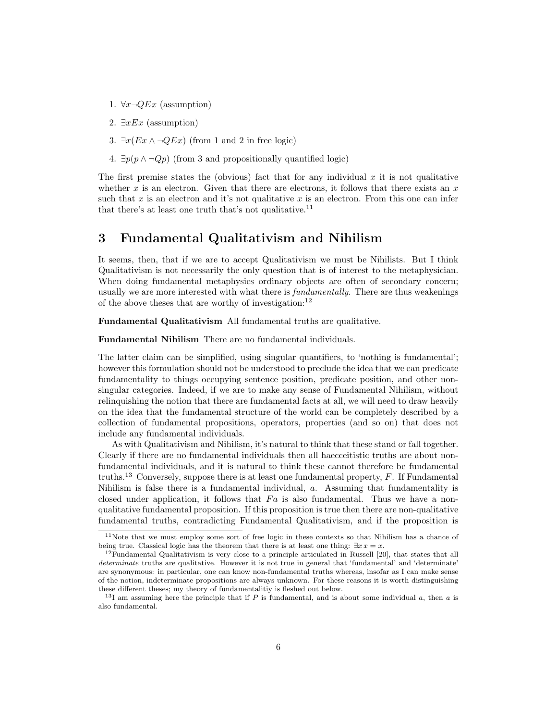- 1.  $\forall x \neg QEx$  (assumption)
- 2.  $\exists x Ex$  (assumption)
- 3.  $\exists x (Ex \land \neg QEx)$  (from 1 and 2 in free logic)
- 4.  $\exists p(p \land \neg Qp)$  (from 3 and propositionally quantified logic)

The first premise states the (obvious) fact that for any individual  $x$  it is not qualitative whether x is an electron. Given that there are electrons, it follows that there exists an  $x$ such that x is an electron and it's not qualitative x is an electron. From this one can infer that there's at least one truth that's not qualitative.<sup>11</sup>

### 3 Fundamental Qualitativism and Nihilism

It seems, then, that if we are to accept Qualitativism we must be Nihilists. But I think Qualitativism is not necessarily the only question that is of interest to the metaphysician. When doing fundamental metaphysics ordinary objects are often of secondary concern; usually we are more interested with what there is *fundamentally*. There are thus weakenings of the above theses that are worthy of investigation:<sup>12</sup>

Fundamental Qualitativism All fundamental truths are qualitative.

Fundamental Nihilism There are no fundamental individuals.

The latter claim can be simplified, using singular quantifiers, to 'nothing is fundamental'; however this formulation should not be understood to preclude the idea that we can predicate fundamentality to things occupying sentence position, predicate position, and other nonsingular categories. Indeed, if we are to make any sense of Fundamental Nihilism, without relinquishing the notion that there are fundamental facts at all, we will need to draw heavily on the idea that the fundamental structure of the world can be completely described by a collection of fundamental propositions, operators, properties (and so on) that does not include any fundamental individuals.

As with Qualitativism and Nihilism, it's natural to think that these stand or fall together. Clearly if there are no fundamental individuals then all haecceitistic truths are about nonfundamental individuals, and it is natural to think these cannot therefore be fundamental truths.<sup>13</sup> Conversely, suppose there is at least one fundamental property,  $F$ . If Fundamental Nihilism is false there is a fundamental individual, a. Assuming that fundamentality is closed under application, it follows that  $Fa$  is also fundamental. Thus we have a nonqualitative fundamental proposition. If this proposition is true then there are non-qualitative fundamental truths, contradicting Fundamental Qualitativism, and if the proposition is

<sup>&</sup>lt;sup>11</sup>Note that we must employ some sort of free logic in these contexts so that Nihilism has a chance of being true. Classical logic has the theorem that there is at least one thing:  $\exists x \, x = x$ .

 $12$ Fundamental Qualitativism is very close to a principle articulated in Russell [20], that states that all determinate truths are qualitative. However it is not true in general that 'fundamental' and 'determinate' are synonymous: in particular, one can know non-fundamental truths whereas, insofar as I can make sense of the notion, indeterminate propositions are always unknown. For these reasons it is worth distinguishing these different theses; my theory of fundamentalitiy is fleshed out below.

<sup>&</sup>lt;sup>13</sup>I am assuming here the principle that if P is fundamental, and is about some individual  $a$ , then  $a$  is also fundamental.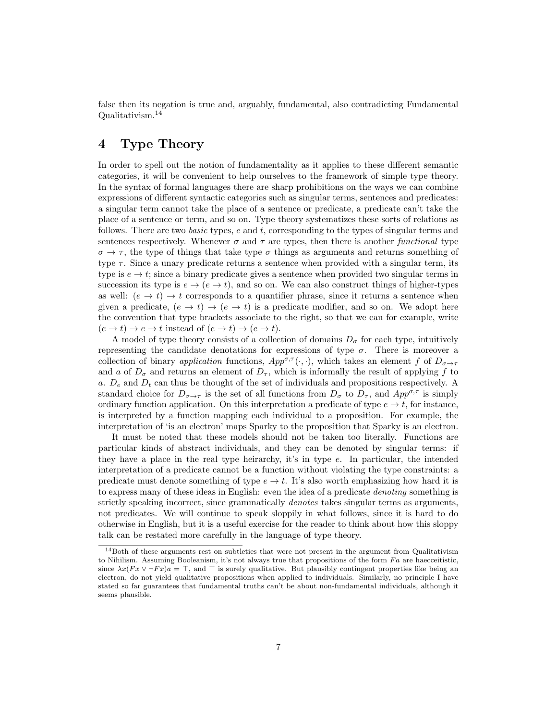false then its negation is true and, arguably, fundamental, also contradicting Fundamental Qualitativism.<sup>14</sup>

# 4 Type Theory

In order to spell out the notion of fundamentality as it applies to these different semantic categories, it will be convenient to help ourselves to the framework of simple type theory. In the syntax of formal languages there are sharp prohibitions on the ways we can combine expressions of different syntactic categories such as singular terms, sentences and predicates: a singular term cannot take the place of a sentence or predicate, a predicate can't take the place of a sentence or term, and so on. Type theory systematizes these sorts of relations as follows. There are two *basic* types,  $e$  and  $t$ , corresponding to the types of singular terms and sentences respectively. Whenever  $\sigma$  and  $\tau$  are types, then there is another *functional* type  $\sigma \to \tau$ , the type of things that take type  $\sigma$  things as arguments and returns something of type  $\tau$ . Since a unary predicate returns a sentence when provided with a singular term, its type is  $e \rightarrow t$ ; since a binary predicate gives a sentence when provided two singular terms in succession its type is  $e \to (e \to t)$ , and so on. We can also construct things of higher-types as well:  $(e \rightarrow t) \rightarrow t$  corresponds to a quantifier phrase, since it returns a sentence when given a predicate,  $(e \rightarrow t) \rightarrow (e \rightarrow t)$  is a predicate modifier, and so on. We adopt here the convention that type brackets associate to the right, so that we can for example, write  $(e \to t) \to e \to t$  instead of  $(e \to t) \to (e \to t)$ .

A model of type theory consists of a collection of domains  $D_{\sigma}$  for each type, intuitively representing the candidate denotations for expressions of type  $\sigma$ . There is moreover a collection of binary application functions,  $App^{\sigma,\tau}(\cdot,\cdot)$ , which takes an element f of  $D_{\sigma\to\tau}$ and a of  $D_{\sigma}$  and returns an element of  $D_{\tau}$ , which is informally the result of applying f to a.  $D_e$  and  $D_t$  can thus be thought of the set of individuals and propositions respectively. A standard choice for  $D_{\sigma \to \tau}$  is the set of all functions from  $D_{\sigma}$  to  $D_{\tau}$ , and  $App^{\sigma, \tau}$  is simply ordinary function application. On this interpretation a predicate of type  $e \to t$ , for instance, is interpreted by a function mapping each individual to a proposition. For example, the interpretation of 'is an electron' maps Sparky to the proposition that Sparky is an electron.

It must be noted that these models should not be taken too literally. Functions are particular kinds of abstract individuals, and they can be denoted by singular terms: if they have a place in the real type heirarchy, it's in type e. In particular, the intended interpretation of a predicate cannot be a function without violating the type constraints: a predicate must denote something of type  $e \to t$ . It's also worth emphasizing how hard it is to express many of these ideas in English: even the idea of a predicate denoting something is strictly speaking incorrect, since grammatically *denotes* takes singular terms as arguments, not predicates. We will continue to speak sloppily in what follows, since it is hard to do otherwise in English, but it is a useful exercise for the reader to think about how this sloppy talk can be restated more carefully in the language of type theory.

<sup>14</sup>Both of these arguments rest on subtleties that were not present in the argument from Qualitativism to Nihilism. Assuming Booleanism, it's not always true that propositions of the form  $Fa$  are haecceitistic, since  $\lambda x (Fx \vee \neg Fx)a = \top$ , and  $\top$  is surely qualitative. But plausibly contingent properties like being an electron, do not yield qualitative propositions when applied to individuals. Similarly, no principle I have stated so far guarantees that fundamental truths can't be about non-fundamental individuals, although it seems plausible.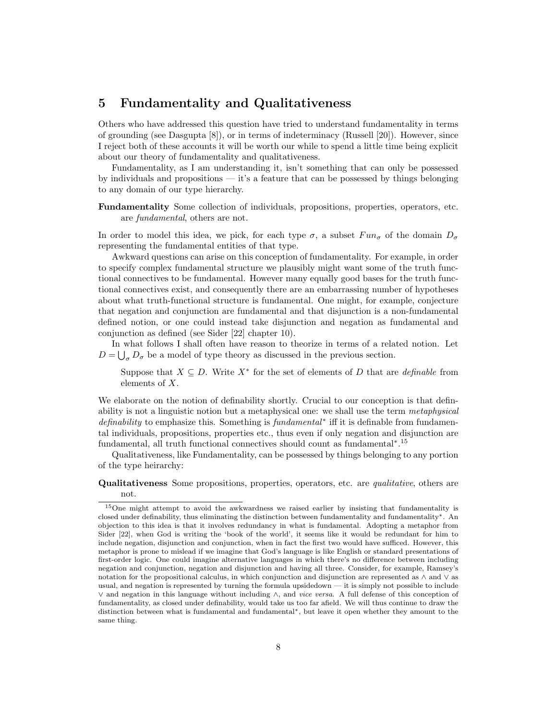### 5 Fundamentality and Qualitativeness

Others who have addressed this question have tried to understand fundamentality in terms of grounding (see Dasgupta [8]), or in terms of indeterminacy (Russell [20]). However, since I reject both of these accounts it will be worth our while to spend a little time being explicit about our theory of fundamentality and qualitativeness.

Fundamentality, as I am understanding it, isn't something that can only be possessed by individuals and propositions — it's a feature that can be possessed by things belonging to any domain of our type hierarchy.

Fundamentality Some collection of individuals, propositions, properties, operators, etc. are fundamental, others are not.

In order to model this idea, we pick, for each type  $\sigma$ , a subset  $Fun_{\sigma}$  of the domain  $D_{\sigma}$ representing the fundamental entities of that type.

Awkward questions can arise on this conception of fundamentality. For example, in order to specify complex fundamental structure we plausibly might want some of the truth functional connectives to be fundamental. However many equally good bases for the truth functional connectives exist, and consequently there are an embarrassing number of hypotheses about what truth-functional structure is fundamental. One might, for example, conjecture that negation and conjunction are fundamental and that disjunction is a non-fundamental defined notion, or one could instead take disjunction and negation as fundamental and conjunction as defined (see Sider [22] chapter 10).

In what follows I shall often have reason to theorize in terms of a related notion. Let  $D = \bigcup_{\sigma} D_{\sigma}$  be a model of type theory as discussed in the previous section.

Suppose that  $X \subseteq D$ . Write  $X^*$  for the set of elements of D that are *definable* from elements of X.

We elaborate on the notion of definability shortly. Crucial to our conception is that definability is not a linguistic notion but a metaphysical one: we shall use the term *metaphysical* definability to emphasize this. Something is fundamental<sup>\*</sup> iff it is definable from fundamental individuals, propositions, properties etc., thus even if only negation and disjunction are fundamental, all truth functional connectives should count as fundamental<sup>∗. 15</sup>

Qualitativeness, like Fundamentality, can be possessed by things belonging to any portion of the type heirarchy:

Qualitativeness Some propositions, properties, operators, etc. are *qualitative*, others are not.

<sup>&</sup>lt;sup>15</sup>One might attempt to avoid the awkwardness we raised earlier by insisting that fundamentality is closed under definability, thus eliminating the distinction between fundamentality and fundamentality∗. An objection to this idea is that it involves redundancy in what is fundamental. Adopting a metaphor from Sider [22], when God is writing the 'book of the world', it seems like it would be redundant for him to include negation, disjunction and conjunction, when in fact the first two would have sufficed. However, this metaphor is prone to mislead if we imagine that God's language is like English or standard presentations of first-order logic. One could imagine alternative languages in which there's no difference between including negation and conjunction, negation and disjunction and having all three. Consider, for example, Ramsey's notation for the propositional calculus, in which conjunction and disjunction are represented as ∧ and ∨ as usual, and negation is represented by turning the formula upsidedown — it is simply not possible to include ∨ and negation in this language without including ∧, and vice versa. A full defense of this conception of fundamentality, as closed under definability, would take us too far afield. We will thus continue to draw the distinction between what is fundamental and fundamental∗, but leave it open whether they amount to the same thing.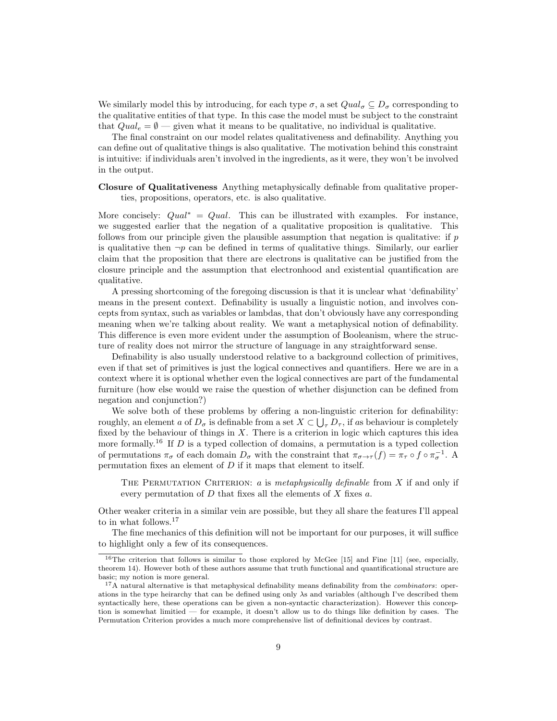We similarly model this by introducing, for each type  $\sigma$ , a set  $Qual_{\sigma} \subseteq D_{\sigma}$  corresponding to the qualitative entities of that type. In this case the model must be subject to the constraint that  $Quale = \emptyset$  — given what it means to be qualitative, no individual is qualitative.

The final constraint on our model relates qualitativeness and definability. Anything you can define out of qualitative things is also qualitative. The motivation behind this constraint is intuitive: if individuals aren't involved in the ingredients, as it were, they won't be involved in the output.

Closure of Qualitativeness Anything metaphysically definable from qualitative properties, propositions, operators, etc. is also qualitative.

More concisely:  $Qual^* = Qual$ . This can be illustrated with examples. For instance, we suggested earlier that the negation of a qualitative proposition is qualitative. This follows from our principle given the plausible assumption that negation is qualitative: if  $p$ is qualitative then  $\neg p$  can be defined in terms of qualitative things. Similarly, our earlier claim that the proposition that there are electrons is qualitative can be justified from the closure principle and the assumption that electronhood and existential quantification are qualitative.

A pressing shortcoming of the foregoing discussion is that it is unclear what 'definability' means in the present context. Definability is usually a linguistic notion, and involves concepts from syntax, such as variables or lambdas, that don't obviously have any corresponding meaning when we're talking about reality. We want a metaphysical notion of definability. This difference is even more evident under the assumption of Booleanism, where the structure of reality does not mirror the structure of language in any straightforward sense.

Definability is also usually understood relative to a background collection of primitives, even if that set of primitives is just the logical connectives and quantifiers. Here we are in a context where it is optional whether even the logical connectives are part of the fundamental furniture (how else would we raise the question of whether disjunction can be defined from negation and conjunction?)

We solve both of these problems by offering a non-linguistic criterion for definability: roughly, an element a of  $D_{\sigma}$  is definable from a set  $X \subset \bigcup_{\tau} D_{\tau}$ , if as behaviour is completely fixed by the behaviour of things in  $X$ . There is a criterion in logic which captures this idea more formally.<sup>16</sup> If  $D$  is a typed collection of domains, a permutation is a typed collection of permutations  $\pi_{\sigma}$  of each domain  $D_{\sigma}$  with the constraint that  $\pi_{\sigma \to \tau}(f) = \pi_{\tau} \circ f \circ \pi_{\sigma}^{-1}$ . A permutation fixes an element of  $D$  if it maps that element to itself.

THE PERMUTATION CRITERION: a is metaphysically definable from  $X$  if and only if every permutation of  $D$  that fixes all the elements of  $X$  fixes  $a$ .

Other weaker criteria in a similar vein are possible, but they all share the features I'll appeal to in what follows.<sup>17</sup>

The fine mechanics of this definition will not be important for our purposes, it will suffice to highlight only a few of its consequences.

<sup>&</sup>lt;sup>16</sup>The criterion that follows is similar to those explored by McGee  $[15]$  and Fine  $[11]$  (see, especially, theorem 14). However both of these authors assume that truth functional and quantificational structure are basic; my notion is more general.

<sup>&</sup>lt;sup>17</sup>A natural alternative is that metaphysical definability means definability from the *combinators*: operations in the type heirarchy that can be defined using only λs and variables (although I've described them syntactically here, these operations can be given a non-syntactic characterization). However this conception is somewhat limitied — for example, it doesn't allow us to do things like definition by cases. The Permutation Criterion provides a much more comprehensive list of definitional devices by contrast.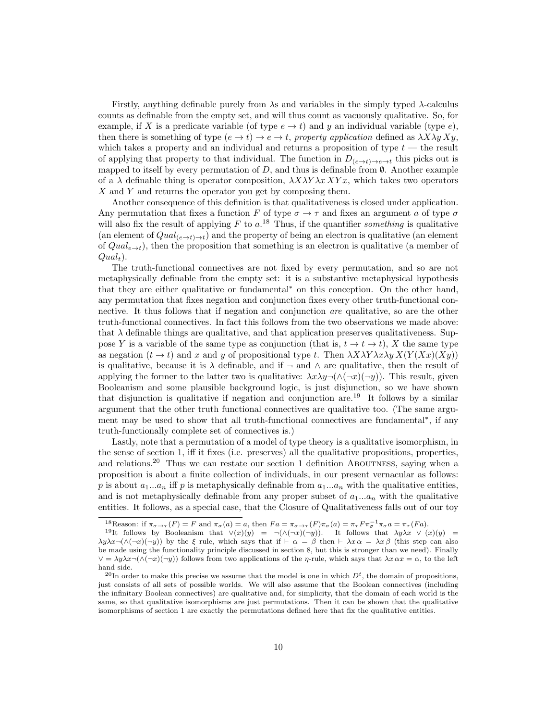Firstly, anything definable purely from  $\lambda$ s and variables in the simply typed  $\lambda$ -calculus counts as definable from the empty set, and will thus count as vacuously qualitative. So, for example, if X is a predicate variable (of type  $e \rightarrow t$ ) and y an individual variable (type e), then there is something of type  $(e \to t) \to e \to t$ , property application defined as  $\lambda X \lambda y X y$ , which takes a property and an individual and returns a proposition of type  $t$  — the result of applying that property to that individual. The function in  $D_{(e\to t)\to e\to t}$  this picks out is mapped to itself by every permutation of  $D$ , and thus is definable from  $\emptyset$ . Another example of a  $\lambda$  definable thing is operator composition,  $\lambda X\lambda Y\lambda x XY$ , which takes two operators X and Y and returns the operator you get by composing them.

Another consequence of this definition is that qualitativeness is closed under application. Any permutation that fixes a function F of type  $\sigma \to \tau$  and fixes an argument a of type  $\sigma$ will also fix the result of applying  $F$  to  $a$ .<sup>18</sup> Thus, if the quantifier *something* is qualitative (an element of  $Qual_{(e\rightarrow t)\rightarrow t}$ ) and the property of being an electron is qualitative (an element of  $Quale_{\rightarrow t}$ ), then the proposition that something is an electron is qualitative (a member of  $Qual<sub>t</sub>$ ).

The truth-functional connectives are not fixed by every permutation, and so are not metaphysically definable from the empty set: it is a substantive metaphysical hypothesis that they are either qualitative or fundamental<sup>∗</sup> on this conception. On the other hand, any permutation that fixes negation and conjunction fixes every other truth-functional connective. It thus follows that if negation and conjunction *are* qualitative, so are the other truth-functional connectives. In fact this follows from the two observations we made above: that  $\lambda$  definable things are qualitative, and that application preserves qualitativeness. Suppose Y is a variable of the same type as conjunction (that is,  $t \to t \to t$ ), X the same type as negation  $(t \to t)$  and x and y of propositional type t. Then  $\lambda X \lambda Y \lambda x \lambda y X(Y(Xx)(Xy))$ is qualitative, because it is  $\lambda$  definable, and if  $\neg$  and  $\wedge$  are qualitative, then the result of applying the former to the latter two is qualitative:  $\lambda x\lambda y\neg(\wedge(\neg x)(\neg y))$ . This result, given Booleanism and some plausible background logic, is just disjunction, so we have shown that disjunction is qualitative if negation and conjunction are.<sup>19</sup> It follows by a similar argument that the other truth functional connectives are qualitative too. (The same argument may be used to show that all truth-functional connectives are fundamental<sup>∗</sup> , if any truth-functionally complete set of connectives is.)

Lastly, note that a permutation of a model of type theory is a qualitative isomorphism, in the sense of section 1, iff it fixes (i.e. preserves) all the qualitative propositions, properties, and relations.<sup>20</sup> Thus we can restate our section 1 definition ABOUTNESS, saying when a proposition is about a finite collection of individuals, in our present vernacular as follows: p is about  $a_1...a_n$  iff p is metaphysically definable from  $a_1...a_n$  with the qualitative entities, and is not metaphysically definable from any proper subset of  $a_1...a_n$  with the qualitative entities. It follows, as a special case, that the Closure of Qualitativeness falls out of our toy

<sup>&</sup>lt;sup>18</sup>Reason: if  $\pi_{\sigma \to \tau}(F) = F$  and  $\pi_{\sigma}(a) = a$ , then  $Fa = \pi_{\sigma \to \tau}(F) \pi_{\sigma}(a) = \pi_{\tau} F \pi_{\sigma}^{-1} \pi_{\sigma} a = \pi_{\tau}(Fa)$ .

<sup>&</sup>lt;sup>19</sup>It follows by Booleanism that  $\vee(x)(y) = \neg(\wedge(\neg x)(\neg y))$ . It follows that  $\lambda y \lambda x \vee (x)(y) =$  $\lambda y \lambda x \neg (\wedge (\neg x)(\neg y))$  by the ξ rule, which says that if  $\vdash \alpha = \beta$  then  $\vdash \lambda x \alpha = \lambda x \beta$  (this step can also be made using the functionality principle discussed in section 8, but this is stronger than we need). Finally  $\vee = \lambda y \lambda x \neg (\wedge (\neg x)(\neg y))$  follows from two applications of the *η*-rule, which says that  $\lambda x \alpha x = \alpha$ , to the left hand side.

<sup>&</sup>lt;sup>20</sup>In order to make this precise we assume that the model is one in which  $D<sup>t</sup>$ , the domain of propositions, just consists of all sets of possible worlds. We will also assume that the Boolean connectives (including the infinitary Boolean connectives) are qualitative and, for simplicity, that the domain of each world is the same, so that qualitative isomorphisms are just permutations. Then it can be shown that the qualitative isomorphisms of section 1 are exactly the permutations defined here that fix the qualitative entities.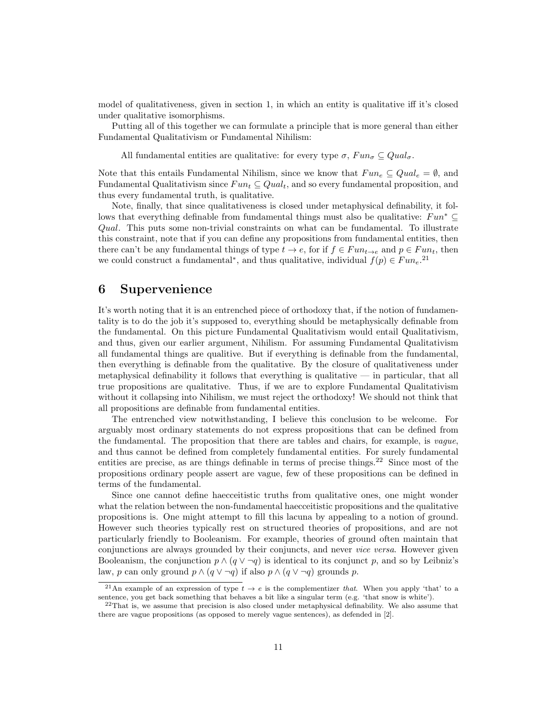model of qualitativeness, given in section 1, in which an entity is qualitative iff it's closed under qualitative isomorphisms.

Putting all of this together we can formulate a principle that is more general than either Fundamental Qualitativism or Fundamental Nihilism:

All fundamental entities are qualitative: for every type  $\sigma$ ,  $Fun_{\sigma} \subseteq Qual_{\sigma}$ .

Note that this entails Fundamental Nihilism, since we know that  $Func_e \subseteq Quad_e = \emptyset$ , and Fundamental Qualitativism since  $Fun_t \subseteq Qual_t$ , and so every fundamental proposition, and thus every fundamental truth, is qualitative.

Note, finally, that since qualitativeness is closed under metaphysical definability, it follows that everything definable from fundamental things must also be qualitative:  $Fun^* \subseteq$ Qual. This puts some non-trivial constraints on what can be fundamental. To illustrate this constraint, note that if you can define any propositions from fundamental entities, then there can't be any fundamental things of type  $t \to e$ , for if  $f \in Fun_{t\to e}$  and  $p \in Fun_t$ , then we could construct a fundamental<sup>\*</sup>, and thus qualitative, individual  $f(p) \in Fun_e$ <sup>21</sup>

#### 6 Supervenience

It's worth noting that it is an entrenched piece of orthodoxy that, if the notion of fundamentality is to do the job it's supposed to, everything should be metaphysically definable from the fundamental. On this picture Fundamental Qualitativism would entail Qualitativism, and thus, given our earlier argument, Nihilism. For assuming Fundamental Qualitativism all fundamental things are qualitive. But if everything is definable from the fundamental, then everything is definable from the qualitative. By the closure of qualitativeness under metaphysical definability it follows that everything is qualitative — in particular, that all true propositions are qualitative. Thus, if we are to explore Fundamental Qualitativism without it collapsing into Nihilism, we must reject the orthodoxy! We should not think that all propositions are definable from fundamental entities.

The entrenched view notwithstanding, I believe this conclusion to be welcome. For arguably most ordinary statements do not express propositions that can be defined from the fundamental. The proposition that there are tables and chairs, for example, is vague, and thus cannot be defined from completely fundamental entities. For surely fundamental entities are precise, as are things definable in terms of precise things.<sup>22</sup> Since most of the propositions ordinary people assert are vague, few of these propositions can be defined in terms of the fundamental.

Since one cannot define haecceitistic truths from qualitative ones, one might wonder what the relation between the non-fundamental haecceitistic propositions and the qualitative propositions is. One might attempt to fill this lacuna by appealing to a notion of ground. However such theories typically rest on structured theories of propositions, and are not particularly friendly to Booleanism. For example, theories of ground often maintain that conjunctions are always grounded by their conjuncts, and never *vice versa*. However given Booleanism, the conjunction  $p \wedge (q \vee \neg q)$  is identical to its conjunct p, and so by Leibniz's law, p can only ground  $p \wedge (q \vee \neg q)$  if also  $p \wedge (q \vee \neg q)$  grounds p.

<sup>&</sup>lt;sup>21</sup>An example of an expression of type  $t \to e$  is the complementizer that. When you apply 'that' to a sentence, you get back something that behaves a bit like a singular term (e.g. 'that snow is white').

 $^{22}$ That is, we assume that precision is also closed under metaphysical definability. We also assume that there are vague propositions (as opposed to merely vague sentences), as defended in [2].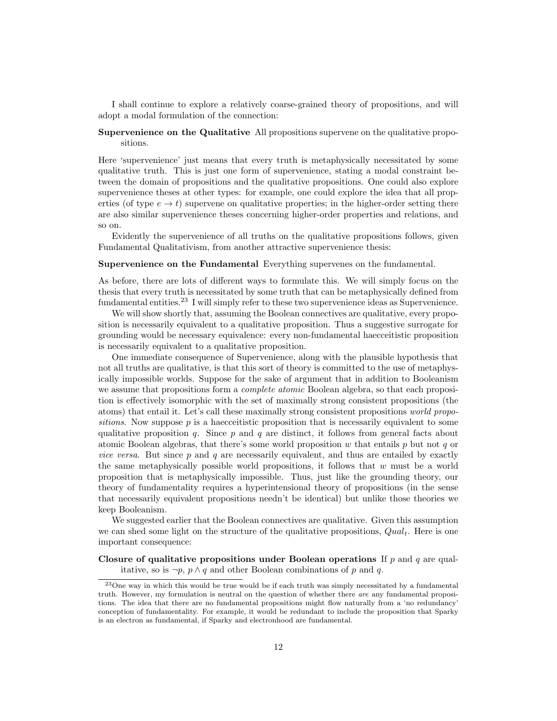I shall continue to explore a relatively coarse-grained theory of propositions, and will adopt a modal formulation of the connection:

#### Supervenience on the Qualitative All propositions supervene on the qualitative propositions.

Here 'supervenience' just means that every truth is metaphysically necessitated by some qualitative truth. This is just one form of supervenience, stating a modal constraint between the domain of propositions and the qualitative propositions. One could also explore supervenience theses at other types: for example, one could explore the idea that all properties (of type  $e \to t$ ) supervene on qualitative properties; in the higher-order setting there are also similar supervenience theses concerning higher-order properties and relations, and so on.

Evidently the supervenience of all truths on the qualitative propositions follows, given Fundamental Qualitativism, from another attractive supervenience thesis:

#### Supervenience on the Fundamental Everything supervenes on the fundamental.

As before, there are lots of different ways to formulate this. We will simply focus on the thesis that every truth is necessitated by some truth that can be metaphysically defined from fundamental entities.<sup>23</sup> I will simply refer to these two supervenience ideas as Supervenience.

We will show shortly that, assuming the Boolean connectives are qualitative, every proposition is necessarily equivalent to a qualitative proposition. Thus a suggestive surrogate for grounding would be necessary equivalence: every non-fundamental haecceitistic proposition is necessarily equivalent to a qualitative proposition.

One immediate consequence of Supervenience, along with the plausible hypothesis that not all truths are qualitative, is that this sort of theory is committed to the use of metaphysically impossible worlds. Suppose for the sake of argument that in addition to Booleanism we assume that propositions form a *complete atomic* Boolean algebra, so that each proposition is effectively isomorphic with the set of maximally strong consistent propositions (the atoms) that entail it. Let's call these maximally strong consistent propositions world propositions. Now suppose  $p$  is a haecceitistic proposition that is necessarily equivalent to some qualitative proposition q. Since  $p$  and  $q$  are distinct, it follows from general facts about atomic Boolean algebras, that there's some world proposition w that entails  $p$  but not  $q$  or *vice versa*. But since  $p$  and  $q$  are necessarily equivalent, and thus are entailed by exactly the same metaphysically possible world propositions, it follows that  $w$  must be a world proposition that is metaphysically impossible. Thus, just like the grounding theory, our theory of fundamentality requires a hyperintensional theory of propositions (in the sense that necessarily equivalent propositions needn't be identical) but unlike those theories we keep Booleanism.

We suggested earlier that the Boolean connectives are qualitative. Given this assumption we can shed some light on the structure of the qualitative propositions,  $Qual<sub>t</sub>$ . Here is one important consequence:

Closure of qualitative propositions under Boolean operations If  $p$  and  $q$  are qualitative, so is  $\neg p$ ,  $p \land q$  and other Boolean combinations of p and q.

<sup>23</sup>One way in which this would be true would be if each truth was simply necessitated by a fundamental truth. However, my formulation is neutral on the question of whether there are any fundamental propositions. The idea that there are no fundamental propositions might flow naturally from a 'no redundancy' conception of fundamentality. For example, it would be redundant to include the proposition that Sparky is an electron as fundamental, if Sparky and electronhood are fundamental.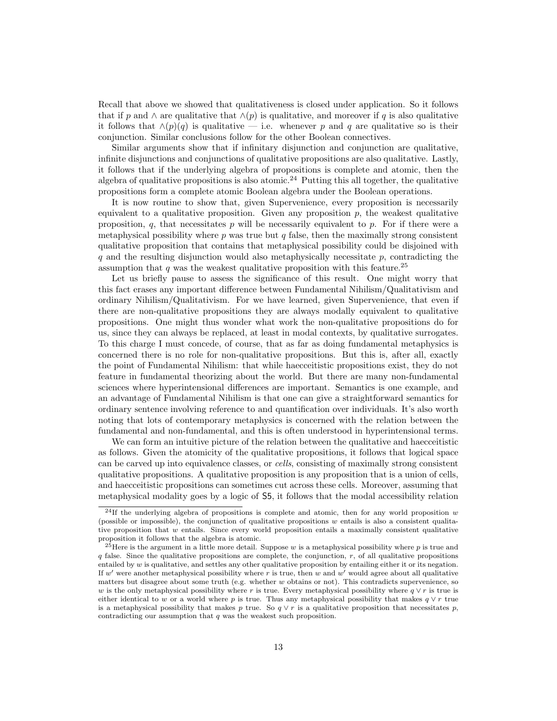Recall that above we showed that qualitativeness is closed under application. So it follows that if p and  $\wedge$  are qualitative that  $\wedge$ (p) is qualitative, and moreover if q is also qualitative it follows that  $\land$ (p)(q) is qualitative — i.e. whenever p and q are qualitative so is their conjunction. Similar conclusions follow for the other Boolean connectives.

Similar arguments show that if infinitary disjunction and conjunction are qualitative, infinite disjunctions and conjunctions of qualitative propositions are also qualitative. Lastly, it follows that if the underlying algebra of propositions is complete and atomic, then the algebra of qualitative propositions is also atomic.<sup>24</sup> Putting this all together, the qualitative propositions form a complete atomic Boolean algebra under the Boolean operations.

It is now routine to show that, given Supervenience, every proposition is necessarily equivalent to a qualitative proposition. Given any proposition  $p$ , the weakest qualitative proposition,  $q$ , that necessitates  $p$  will be necessarily equivalent to  $p$ . For if there were a metaphysical possibility where  $p$  was true but  $q$  false, then the maximally strong consistent qualitative proposition that contains that metaphysical possibility could be disjoined with q and the resulting disjunction would also metaphysically necessitate p, contradicting the assumption that q was the weakest qualitative proposition with this feature.<sup>25</sup>

Let us briefly pause to assess the significance of this result. One might worry that this fact erases any important difference between Fundamental Nihilism/Qualitativism and ordinary Nihilism/Qualitativism. For we have learned, given Supervenience, that even if there are non-qualitative propositions they are always modally equivalent to qualitative propositions. One might thus wonder what work the non-qualitative propositions do for us, since they can always be replaced, at least in modal contexts, by qualitative surrogates. To this charge I must concede, of course, that as far as doing fundamental metaphysics is concerned there is no role for non-qualitative propositions. But this is, after all, exactly the point of Fundamental Nihilism: that while haecceitistic propositions exist, they do not feature in fundamental theorizing about the world. But there are many non-fundamental sciences where hyperintensional differences are important. Semantics is one example, and an advantage of Fundamental Nihilism is that one can give a straightforward semantics for ordinary sentence involving reference to and quantification over individuals. It's also worth noting that lots of contemporary metaphysics is concerned with the relation between the fundamental and non-fundamental, and this is often understood in hyperintensional terms.

We can form an intuitive picture of the relation between the qualitative and haecceitistic as follows. Given the atomicity of the qualitative propositions, it follows that logical space can be carved up into equivalence classes, or cells, consisting of maximally strong consistent qualitative propositions. A qualitative proposition is any proposition that is a union of cells, and haecceitistic propositions can sometimes cut across these cells. Moreover, assuming that metaphysical modality goes by a logic of S5, it follows that the modal accessibility relation

<sup>&</sup>lt;sup>24</sup>If the underlying algebra of propositions is complete and atomic, then for any world proposition  $w$ (possible or impossible), the conjunction of qualitative propositions  $w$  entails is also a consistent qualitative proposition that w entails. Since every world proposition entails a maximally consistent qualitative proposition it follows that the algebra is atomic.

<sup>&</sup>lt;sup>25</sup>Here is the argument in a little more detail. Suppose w is a metaphysical possibility where p is true and  $q$  false. Since the qualitative propositions are complete, the conjunction,  $r$ , of all qualitative propositions entailed by w is qualitative, and settles any other qualitative proposition by entailing either it or its negation. If w' were another metaphysical possibility where r is true, then w and w' would agree about all qualitative matters but disagree about some truth (e.g. whether w obtains or not). This contradicts supervenience, so w is the only metaphysical possibility where r is true. Every metaphysical possibility where  $q \vee r$  is true is either identical to w or a world where p is true. Thus any metaphysical possibility that makes  $q \vee r$  true is a metaphysical possibility that makes p true. So  $q \vee r$  is a qualitative proposition that necessitates p, contradicting our assumption that q was the weakest such proposition.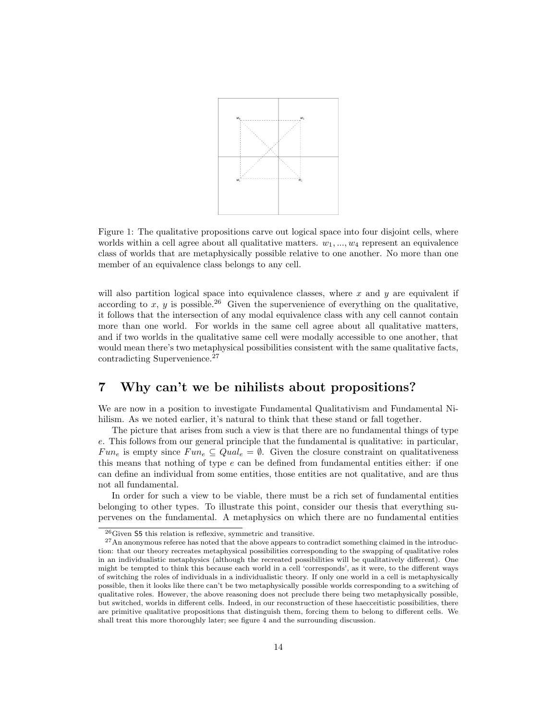

Figure 1: The qualitative propositions carve out logical space into four disjoint cells, where worlds within a cell agree about all qualitative matters.  $w_1, ..., w_4$  represent an equivalence class of worlds that are metaphysically possible relative to one another. No more than one member of an equivalence class belongs to any cell.

will also partition logical space into equivalence classes, where  $x$  and  $y$  are equivalent if according to x, y is possible.<sup>26</sup> Given the supervenience of everything on the qualitative, it follows that the intersection of any modal equivalence class with any cell cannot contain more than one world. For worlds in the same cell agree about all qualitative matters, and if two worlds in the qualitative same cell were modally accessible to one another, that would mean there's two metaphysical possibilities consistent with the same qualitative facts, contradicting Supervenience.<sup>27</sup>

## 7 Why can't we be nihilists about propositions?

We are now in a position to investigate Fundamental Qualitativism and Fundamental Nihilism. As we noted earlier, it's natural to think that these stand or fall together.

The picture that arises from such a view is that there are no fundamental things of type e. This follows from our general principle that the fundamental is qualitative: in particular, Fun<sub>e</sub> is empty since  $Fun_{e} \subseteq Qual_{e} = \emptyset$ . Given the closure constraint on qualitativeness this means that nothing of type e can be defined from fundamental entities either: if one can define an individual from some entities, those entities are not qualitative, and are thus not all fundamental.

In order for such a view to be viable, there must be a rich set of fundamental entities belonging to other types. To illustrate this point, consider our thesis that everything supervenes on the fundamental. A metaphysics on which there are no fundamental entities

 $^{26}\mathrm{Given}$  S5 this relation is reflexive, symmetric and transitive.

 $^{27}$ An anonymous referee has noted that the above appears to contradict something claimed in the introduction: that our theory recreates metaphysical possibilities corresponding to the swapping of qualitative roles in an individualistic metaphysics (although the recreated possibilities will be qualitatively different). One might be tempted to think this because each world in a cell 'corresponds', as it were, to the different ways of switching the roles of individuals in a individualistic theory. If only one world in a cell is metaphysically possible, then it looks like there can't be two metaphysically possible worlds corresponding to a switching of qualitative roles. However, the above reasoning does not preclude there being two metaphysically possible, but switched, worlds in different cells. Indeed, in our reconstruction of these haecceitistic possibilities, there are primitive qualitative propositions that distinguish them, forcing them to belong to different cells. We shall treat this more thoroughly later; see figure 4 and the surrounding discussion.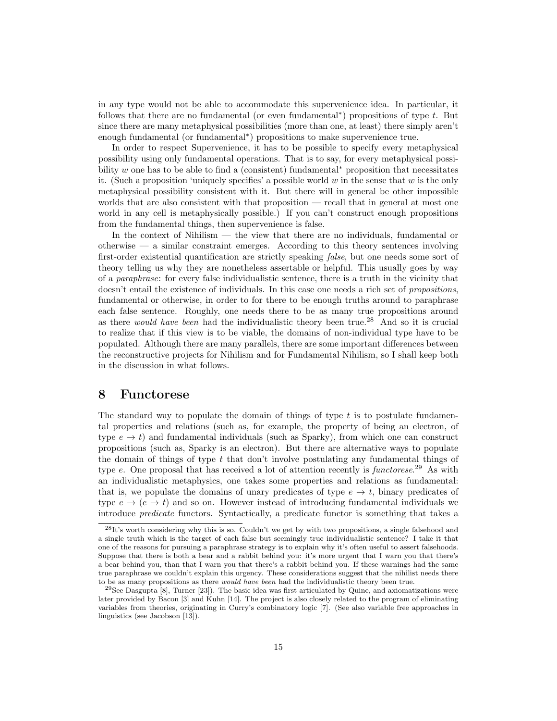in any type would not be able to accommodate this supervenience idea. In particular, it follows that there are no fundamental (or even fundamental<sup>∗</sup> ) propositions of type t. But since there are many metaphysical possibilities (more than one, at least) there simply aren't enough fundamental (or fundamental<sup>∗</sup> ) propositions to make supervenience true.

In order to respect Supervenience, it has to be possible to specify every metaphysical possibility using only fundamental operations. That is to say, for every metaphysical possibility w one has to be able to find a (consistent) fundamental<sup>∗</sup> proposition that necessitates it. (Such a proposition 'uniquely specifies' a possible world  $w$  in the sense that  $w$  is the only metaphysical possibility consistent with it. But there will in general be other impossible worlds that are also consistent with that proposition — recall that in general at most one world in any cell is metaphysically possible.) If you can't construct enough propositions from the fundamental things, then supervenience is false.

In the context of Nihilism — the view that there are no individuals, fundamental or otherwise — a similar constraint emerges. According to this theory sentences involving first-order existential quantification are strictly speaking *false*, but one needs some sort of theory telling us why they are nonetheless assertable or helpful. This usually goes by way of a paraphrase: for every false individualistic sentence, there is a truth in the vicinity that doesn't entail the existence of individuals. In this case one needs a rich set of *propositions*, fundamental or otherwise, in order to for there to be enough truths around to paraphrase each false sentence. Roughly, one needs there to be as many true propositions around as there *would have been* had the individualistic theory been true.<sup>28</sup> And so it is crucial to realize that if this view is to be viable, the domains of non-individual type have to be populated. Although there are many parallels, there are some important differences between the reconstructive projects for Nihilism and for Fundamental Nihilism, so I shall keep both in the discussion in what follows.

#### 8 Functorese

The standard way to populate the domain of things of type  $t$  is to postulate fundamental properties and relations (such as, for example, the property of being an electron, of type  $e \rightarrow t$ ) and fundamental individuals (such as Sparky), from which one can construct propositions (such as, Sparky is an electron). But there are alternative ways to populate the domain of things of type  $t$  that don't involve postulating any fundamental things of type e. One proposal that has received a lot of attention recently is functorese.<sup>29</sup> As with an individualistic metaphysics, one takes some properties and relations as fundamental: that is, we populate the domains of unary predicates of type  $e \rightarrow t$ , binary predicates of type  $e \rightarrow (e \rightarrow t)$  and so on. However instead of introducing fundamental individuals we introduce predicate functors. Syntactically, a predicate functor is something that takes a

<sup>28</sup>It's worth considering why this is so. Couldn't we get by with two propositions, a single falsehood and a single truth which is the target of each false but seemingly true individualistic sentence? I take it that one of the reasons for pursuing a paraphrase strategy is to explain why it's often useful to assert falsehoods. Suppose that there is both a bear and a rabbit behind you: it's more urgent that I warn you that there's a bear behind you, than that I warn you that there's a rabbit behind you. If these warnings had the same true paraphrase we couldn't explain this urgency. These considerations suggest that the nihilist needs there to be as many propositions as there would have been had the individualistic theory been true.

 $29$ See Dasgupta [8], Turner [23]). The basic idea was first articulated by Quine, and axiomatizations were later provided by Bacon [3] and Kuhn [14]. The project is also closely related to the program of eliminating variables from theories, originating in Curry's combinatory logic [7]. (See also variable free approaches in linguistics (see Jacobson [13]).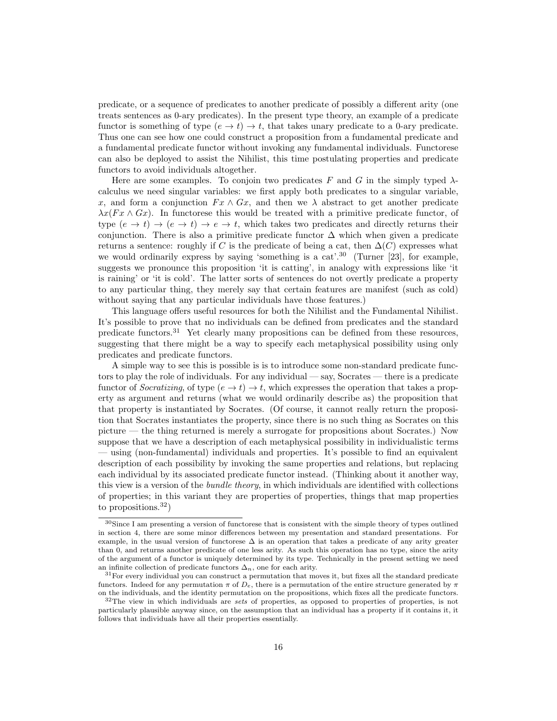predicate, or a sequence of predicates to another predicate of possibly a different arity (one treats sentences as 0-ary predicates). In the present type theory, an example of a predicate functor is something of type  $(e \to t) \to t$ , that takes unary predicate to a 0-ary predicate. Thus one can see how one could construct a proposition from a fundamental predicate and a fundamental predicate functor without invoking any fundamental individuals. Functorese can also be deployed to assist the Nihilist, this time postulating properties and predicate functors to avoid individuals altogether.

Here are some examples. To conjoin two predicates F and G in the simply typed  $\lambda$ calculus we need singular variables: we first apply both predicates to a singular variable, x, and form a conjunction  $Fx \wedge Gx$ , and then we  $\lambda$  abstract to get another predicate  $\lambda x(Fx \wedge Gx)$ . In functorese this would be treated with a primitive predicate functor, of type  $(e \to t) \to (e \to t) \to e \to t$ , which takes two predicates and directly returns their conjunction. There is also a primitive predicate functor  $\Delta$  which when given a predicate returns a sentence: roughly if C is the predicate of being a cat, then  $\Delta(C)$  expresses what we would ordinarily express by saying 'something is a cat'.<sup>30</sup> (Turner [23], for example, suggests we pronounce this proposition 'it is catting', in analogy with expressions like 'it is raining' or 'it is cold'. The latter sorts of sentences do not overtly predicate a property to any particular thing, they merely say that certain features are manifest (such as cold) without saying that any particular individuals have those features.)

This language offers useful resources for both the Nihilist and the Fundamental Nihilist. It's possible to prove that no individuals can be defined from predicates and the standard predicate functors.<sup>31</sup> Yet clearly many propositions can be defined from these resources, suggesting that there might be a way to specify each metaphysical possibility using only predicates and predicate functors.

A simple way to see this is possible is is to introduce some non-standard predicate functors to play the role of individuals. For any individual — say, Socrates — there is a predicate functor of Socratizing, of type  $(e \to t) \to t$ , which expresses the operation that takes a property as argument and returns (what we would ordinarily describe as) the proposition that that property is instantiated by Socrates. (Of course, it cannot really return the proposition that Socrates instantiates the property, since there is no such thing as Socrates on this picture — the thing returned is merely a surrogate for propositions about Socrates.) Now suppose that we have a description of each metaphysical possibility in individualistic terms — using (non-fundamental) individuals and properties. It's possible to find an equivalent description of each possibility by invoking the same properties and relations, but replacing each individual by its associated predicate functor instead. (Thinking about it another way, this view is a version of the *bundle theory*, in which individuals are identified with collections of properties; in this variant they are properties of properties, things that map properties to propositions.  $32)$ 

<sup>&</sup>lt;sup>30</sup>Since I am presenting a version of functorese that is consistent with the simple theory of types outlined in section 4, there are some minor differences between my presentation and standard presentations. For example, in the usual version of functorese  $\Delta$  is an operation that takes a predicate of any arity greater than 0, and returns another predicate of one less arity. As such this operation has no type, since the arity of the argument of a functor is uniquely determined by its type. Technically in the present setting we need an infinite collection of predicate functors  $\Delta_n$ , one for each arity.

<sup>&</sup>lt;sup>31</sup>For every individual you can construct a permutation that moves it, but fixes all the standard predicate functors. Indeed for any permutation  $\pi$  of  $D_e$ , there is a permutation of the entire structure generated by  $\pi$ on the individuals, and the identity permutation on the propositions, which fixes all the predicate functors.

 $32$ The view in which individuals are sets of properties, as opposed to properties of properties, is not particularly plausible anyway since, on the assumption that an individual has a property if it contains it, it follows that individuals have all their properties essentially.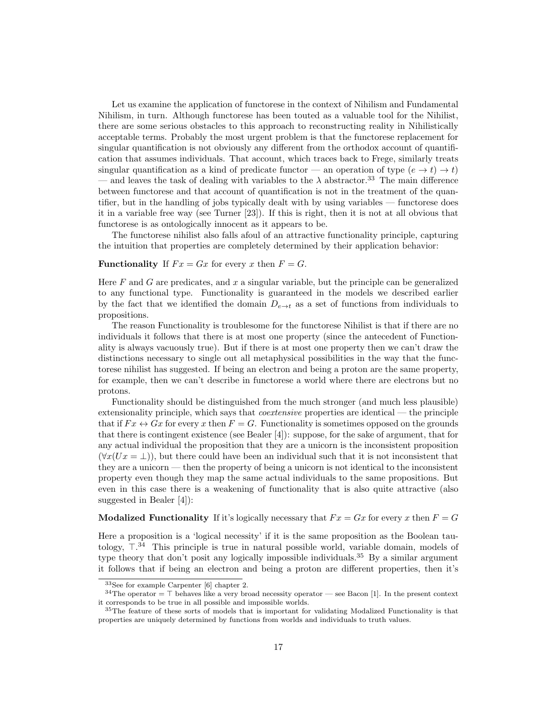Let us examine the application of functorese in the context of Nihilism and Fundamental Nihilism, in turn. Although functorese has been touted as a valuable tool for the Nihilist, there are some serious obstacles to this approach to reconstructing reality in Nihilistically acceptable terms. Probably the most urgent problem is that the functorese replacement for singular quantification is not obviously any different from the orthodox account of quantification that assumes individuals. That account, which traces back to Frege, similarly treats singular quantification as a kind of predicate functor — an operation of type  $(e \to t) \to t$ ) — and leaves the task of dealing with variables to the  $\lambda$  abstractor.<sup>33</sup> The main difference between functorese and that account of quantification is not in the treatment of the quantifier, but in the handling of jobs typically dealt with by using variables — functorese does it in a variable free way (see Turner [23]). If this is right, then it is not at all obvious that functorese is as ontologically innocent as it appears to be.

The functorese nihilist also falls afoul of an attractive functionality principle, capturing the intuition that properties are completely determined by their application behavior:

#### **Functionality** If  $Fx = Gx$  for every x then  $F = G$ .

Here F and G are predicates, and x a singular variable, but the principle can be generalized to any functional type. Functionality is guaranteed in the models we described earlier by the fact that we identified the domain  $D_{e\rightarrow t}$  as a set of functions from individuals to propositions.

The reason Functionality is troublesome for the functorese Nihilist is that if there are no individuals it follows that there is at most one property (since the antecedent of Functionality is always vacuously true). But if there is at most one property then we can't draw the distinctions necessary to single out all metaphysical possibilities in the way that the functorese nihilist has suggested. If being an electron and being a proton are the same property, for example, then we can't describe in functorese a world where there are electrons but no protons.

Functionality should be distinguished from the much stronger (and much less plausible) extensionality principle, which says that coextensive properties are identical — the principle that if  $Fx \leftrightarrow Gx$  for every x then  $F = G$ . Functionality is sometimes opposed on the grounds that there is contingent existence (see Bealer [4]): suppose, for the sake of argument, that for any actual individual the proposition that they are a unicorn is the inconsistent proposition  $(\forall x(Ux = \bot))$ , but there could have been an individual such that it is not inconsistent that they are a unicorn — then the property of being a unicorn is not identical to the inconsistent property even though they map the same actual individuals to the same propositions. But even in this case there is a weakening of functionality that is also quite attractive (also suggested in Bealer [4]):

#### **Modalized Functionality** If it's logically necessary that  $Fx = Gx$  for every x then  $F = G$

Here a proposition is a 'logical necessity' if it is the same proposition as the Boolean tautology,  $\mathcal{T}^{\mathcal{A}}$ . This principle is true in natural possible world, variable domain, models of type theory that don't posit any logically impossible individuals.<sup>35</sup> By a similar argument it follows that if being an electron and being a proton are different properties, then it's

<sup>33</sup>See for example Carpenter [6] chapter 2.

 $34$ The operator  $=$   $\top$  behaves like a very broad necessity operator — see Bacon [1]. In the present context it corresponds to be true in all possible and impossible worlds.

<sup>&</sup>lt;sup>35</sup>The feature of these sorts of models that is important for validating Modalized Functionality is that properties are uniquely determined by functions from worlds and individuals to truth values.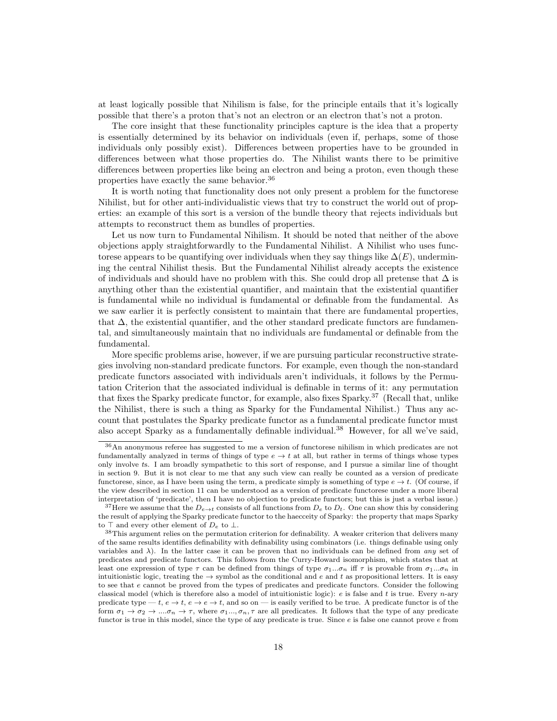at least logically possible that Nihilism is false, for the principle entails that it's logically possible that there's a proton that's not an electron or an electron that's not a proton.

The core insight that these functionality principles capture is the idea that a property is essentially determined by its behavior on individuals (even if, perhaps, some of those individuals only possibly exist). Differences between properties have to be grounded in differences between what those properties do. The Nihilist wants there to be primitive differences between properties like being an electron and being a proton, even though these properties have exactly the same behavior.<sup>36</sup>

It is worth noting that functionality does not only present a problem for the functorese Nihilist, but for other anti-individualistic views that try to construct the world out of properties: an example of this sort is a version of the bundle theory that rejects individuals but attempts to reconstruct them as bundles of properties.

Let us now turn to Fundamental Nihilism. It should be noted that neither of the above objections apply straightforwardly to the Fundamental Nihilist. A Nihilist who uses functorese appears to be quantifying over individuals when they say things like  $\Delta(E)$ , undermining the central Nihilist thesis. But the Fundamental Nihilist already accepts the existence of individuals and should have no problem with this. She could drop all pretense that  $\Delta$  is anything other than the existential quantifier, and maintain that the existential quantifier is fundamental while no individual is fundamental or definable from the fundamental. As we saw earlier it is perfectly consistent to maintain that there are fundamental properties, that  $\Delta$ , the existential quantifier, and the other standard predicate functors are fundamental, and simultaneously maintain that no individuals are fundamental or definable from the fundamental.

More specific problems arise, however, if we are pursuing particular reconstructive strategies involving non-standard predicate functors. For example, even though the non-standard predicate functors associated with individuals aren't individuals, it follows by the Permutation Criterion that the associated individual is definable in terms of it: any permutation that fixes the Sparky predicate functor, for example, also fixes  $Sparky.$ <sup>37</sup> (Recall that, unlike the Nihilist, there is such a thing as Sparky for the Fundamental Nihilist.) Thus any account that postulates the Sparky predicate functor as a fundamental predicate functor must also accept Sparky as a fundamentally definable individual.<sup>38</sup> However, for all we've said,

<sup>36</sup>An anonymous referee has suggested to me a version of functorese nihilism in which predicates are not fundamentally analyzed in terms of things of type  $e \to t$  at all, but rather in terms of things whose types only involve ts. I am broadly sympathetic to this sort of response, and I pursue a similar line of thought in section 9. But it is not clear to me that any such view can really be counted as a version of predicate functorese, since, as I have been using the term, a predicate simply is something of type  $e \to t$ . (Of course, if the view described in section 11 can be understood as a version of predicate functorese under a more liberal interpretation of 'predicate', then I have no objection to predicate functors; but this is just a verbal issue.)

<sup>&</sup>lt;sup>37</sup>Here we assume that the  $D_{e\to t}$  consists of all functions from  $D_e$  to  $D_t$ . One can show this by considering the result of applying the Sparky predicate functor to the haecceity of Sparky: the property that maps Sparky to  $\top$  and every other element of  $D_e$  to  $\bot$ .

<sup>&</sup>lt;sup>38</sup>This argument relies on the permutation criterion for definability. A weaker criterion that delivers many of the same results identifies definability with definability using combinators (i.e. things definable using only variables and  $\lambda$ ). In the latter case it can be proven that no individuals can be defined from any set of predicates and predicate functors. This follows from the Curry-Howard isomorphism, which states that at least one expression of type  $\tau$  can be defined from things of type  $\sigma_1...\sigma_n$  iff  $\tau$  is provable from  $\sigma_1...\sigma_n$  in intuitionistic logic, treating the  $\rightarrow$  symbol as the conditional and e and t as propositional letters. It is easy to see that e cannot be proved from the types of predicates and predicate functors. Consider the following classical model (which is therefore also a model of intuitionistic logic):  $e$  is false and  $t$  is true. Every n-ary predicate type —  $t, e \rightarrow t, e \rightarrow e \rightarrow t$ , and so on — is easily verified to be true. A predicate functor is of the form  $\sigma_1 \to \sigma_2 \to \dots \sigma_n \to \tau$ , where  $\sigma_1 \dots, \sigma_n, \tau$  are all predicates. It follows that the type of any predicate functor is true in this model, since the type of any predicate is true. Since e is false one cannot prove e from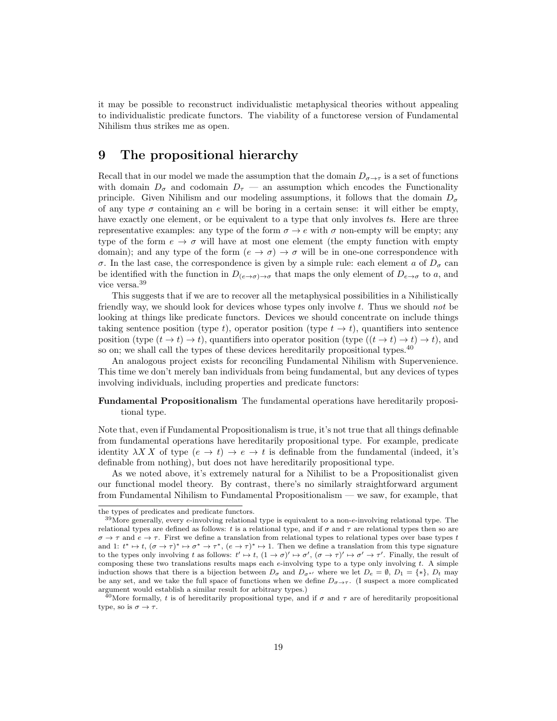it may be possible to reconstruct individualistic metaphysical theories without appealing to individualistic predicate functors. The viability of a functorese version of Fundamental Nihilism thus strikes me as open.

# 9 The propositional hierarchy

Recall that in our model we made the assumption that the domain  $D_{\sigma \to \tau}$  is a set of functions with domain  $D_{\sigma}$  and codomain  $D_{\tau}$  — an assumption which encodes the Functionality principle. Given Nihilism and our modeling assumptions, it follows that the domain  $D_{\sigma}$ of any type  $\sigma$  containing an e will be boring in a certain sense: it will either be empty, have exactly one element, or be equivalent to a type that only involves ts. Here are three representative examples: any type of the form  $\sigma \rightarrow e$  with  $\sigma$  non-empty will be empty; any type of the form  $e \to \sigma$  will have at most one element (the empty function with empty domain); and any type of the form  $(e \to \sigma) \to \sigma$  will be in one-one correspondence with σ. In the last case, the correspondence is given by a simple rule: each element a of  $D_{\sigma}$  can be identified with the function in  $D_{(e\to\sigma)\to\sigma}$  that maps the only element of  $D_{e\to\sigma}$  to a, and vice versa.<sup>39</sup>

This suggests that if we are to recover all the metaphysical possibilities in a Nihilistically friendly way, we should look for devices whose types only involve t. Thus we should not be looking at things like predicate functors. Devices we should concentrate on include things taking sentence position (type t), operator position (type  $t \to t$ ), quantifiers into sentence position (type  $(t \to t) \to t$ ), quantifiers into operator position (type  $((t \to t) \to t) \to t)$ , and so on; we shall call the types of these devices hereditarily propositional types.<sup>40</sup>

An analogous project exists for reconciling Fundamental Nihilism with Supervenience. This time we don't merely ban individuals from being fundamental, but any devices of types involving individuals, including properties and predicate functors:

#### Fundamental Propositionalism The fundamental operations have hereditarily propositional type.

Note that, even if Fundamental Propositionalism is true, it's not true that all things definable from fundamental operations have hereditarily propositional type. For example, predicate identity  $\lambda X X$  of type  $(e \to t) \to e \to t$  is definable from the fundamental (indeed, it's definable from nothing), but does not have hereditarily propositional type.

As we noted above, it's extremely natural for a Nihilist to be a Propositionalist given our functional model theory. By contrast, there's no similarly straightforward argument from Fundamental Nihilism to Fundamental Propositionalism — we saw, for example, that

the types of predicates and predicate functors.

 $39$ More generally, every e-involving relational type is equivalent to a non-e-involving relational type. The relational types are defined as follows: t is a relational type, and if  $\sigma$  and  $\tau$  are relational types then so are  $\sigma \to \tau$  and  $e \to \tau$ . First we define a translation from relational types to relational types over base types t and 1:  $t^* \mapsto t$ ,  $(\sigma \to \tau)^* \mapsto \sigma^* \to \tau^*$ ,  $(e \to \tau)^* \mapsto 1$ . Then we define a translation from this type signature to the types only involving t as follows:  $t' \mapsto t$ ,  $(1 \to \sigma)' \mapsto \sigma'$ ,  $(\sigma \to \tau)' \mapsto \sigma' \to \tau'$ . Finally, the result of composing these two translations results maps each  $e$ -involving type to a type only involving  $t$ . A simple induction shows that there is a bijection between  $D_{\sigma}$  and  $D_{\sigma^{*}}$  where we let  $D_e = \emptyset$ ,  $D_1 = \{*\}$ ,  $D_t$  may be any set, and we take the full space of functions when we define  $D_{\sigma \to \tau}$ . (I suspect a more complicated argument would establish a similar result for arbitrary types.)

<sup>&</sup>lt;sup>40</sup>More formally, t is of hereditarily propositional type, and if  $\sigma$  and  $\tau$  are of hereditarily propositional type, so is  $\sigma \to \tau$ .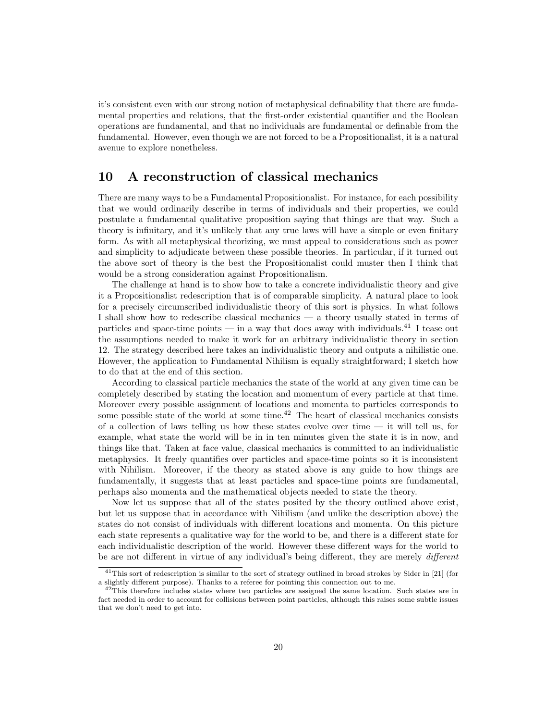it's consistent even with our strong notion of metaphysical definability that there are fundamental properties and relations, that the first-order existential quantifier and the Boolean operations are fundamental, and that no individuals are fundamental or definable from the fundamental. However, even though we are not forced to be a Propositionalist, it is a natural avenue to explore nonetheless.

# 10 A reconstruction of classical mechanics

There are many ways to be a Fundamental Propositionalist. For instance, for each possibility that we would ordinarily describe in terms of individuals and their properties, we could postulate a fundamental qualitative proposition saying that things are that way. Such a theory is infinitary, and it's unlikely that any true laws will have a simple or even finitary form. As with all metaphysical theorizing, we must appeal to considerations such as power and simplicity to adjudicate between these possible theories. In particular, if it turned out the above sort of theory is the best the Propositionalist could muster then I think that would be a strong consideration against Propositionalism.

The challenge at hand is to show how to take a concrete individualistic theory and give it a Propositionalist redescription that is of comparable simplicity. A natural place to look for a precisely circumscribed individualistic theory of this sort is physics. In what follows I shall show how to redescribe classical mechanics — a theory usually stated in terms of particles and space-time points — in a way that does away with individuals.<sup>41</sup> I tease out the assumptions needed to make it work for an arbitrary individualistic theory in section 12. The strategy described here takes an individualistic theory and outputs a nihilistic one. However, the application to Fundamental Nihilism is equally straightforward; I sketch how to do that at the end of this section.

According to classical particle mechanics the state of the world at any given time can be completely described by stating the location and momentum of every particle at that time. Moreover every possible assignment of locations and momenta to particles corresponds to some possible state of the world at some time. $42$  The heart of classical mechanics consists of a collection of laws telling us how these states evolve over time  $-$  it will tell us, for example, what state the world will be in in ten minutes given the state it is in now, and things like that. Taken at face value, classical mechanics is committed to an individualistic metaphysics. It freely quantifies over particles and space-time points so it is inconsistent with Nihilism. Moreover, if the theory as stated above is any guide to how things are fundamentally, it suggests that at least particles and space-time points are fundamental, perhaps also momenta and the mathematical objects needed to state the theory.

Now let us suppose that all of the states posited by the theory outlined above exist, but let us suppose that in accordance with Nihilism (and unlike the description above) the states do not consist of individuals with different locations and momenta. On this picture each state represents a qualitative way for the world to be, and there is a different state for each individualistic description of the world. However these different ways for the world to be are not different in virtue of any individual's being different, they are merely different

<sup>&</sup>lt;sup>41</sup>This sort of redescription is similar to the sort of strategy outlined in broad strokes by Sider in [21] (for a slightly different purpose). Thanks to a referee for pointing this connection out to me.

<sup>&</sup>lt;sup>42</sup>This therefore includes states where two particles are assigned the same location. Such states are in fact needed in order to account for collisions between point particles, although this raises some subtle issues that we don't need to get into.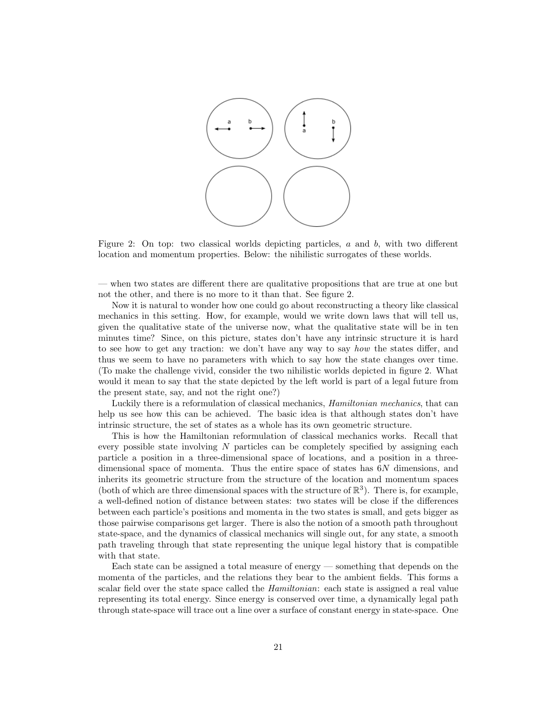

Figure 2: On top: two classical worlds depicting particles, a and b, with two different location and momentum properties. Below: the nihilistic surrogates of these worlds.

— when two states are different there are qualitative propositions that are true at one but not the other, and there is no more to it than that. See figure 2.

Now it is natural to wonder how one could go about reconstructing a theory like classical mechanics in this setting. How, for example, would we write down laws that will tell us, given the qualitative state of the universe now, what the qualitative state will be in ten minutes time? Since, on this picture, states don't have any intrinsic structure it is hard to see how to get any traction: we don't have any way to say *how* the states differ, and thus we seem to have no parameters with which to say how the state changes over time. (To make the challenge vivid, consider the two nihilistic worlds depicted in figure 2. What would it mean to say that the state depicted by the left world is part of a legal future from the present state, say, and not the right one?)

Luckily there is a reformulation of classical mechanics, Hamiltonian mechanics, that can help us see how this can be achieved. The basic idea is that although states don't have intrinsic structure, the set of states as a whole has its own geometric structure.

This is how the Hamiltonian reformulation of classical mechanics works. Recall that every possible state involving  $N$  particles can be completely specified by assigning each particle a position in a three-dimensional space of locations, and a position in a threedimensional space of momenta. Thus the entire space of states has 6N dimensions, and inherits its geometric structure from the structure of the location and momentum spaces (both of which are three dimensional spaces with the structure of  $\mathbb{R}^3$ ). There is, for example, a well-defined notion of distance between states: two states will be close if the differences between each particle's positions and momenta in the two states is small, and gets bigger as those pairwise comparisons get larger. There is also the notion of a smooth path throughout state-space, and the dynamics of classical mechanics will single out, for any state, a smooth path traveling through that state representing the unique legal history that is compatible with that state.

Each state can be assigned a total measure of energy — something that depends on the momenta of the particles, and the relations they bear to the ambient fields. This forms a scalar field over the state space called the *Hamiltonian*: each state is assigned a real value representing its total energy. Since energy is conserved over time, a dynamically legal path through state-space will trace out a line over a surface of constant energy in state-space. One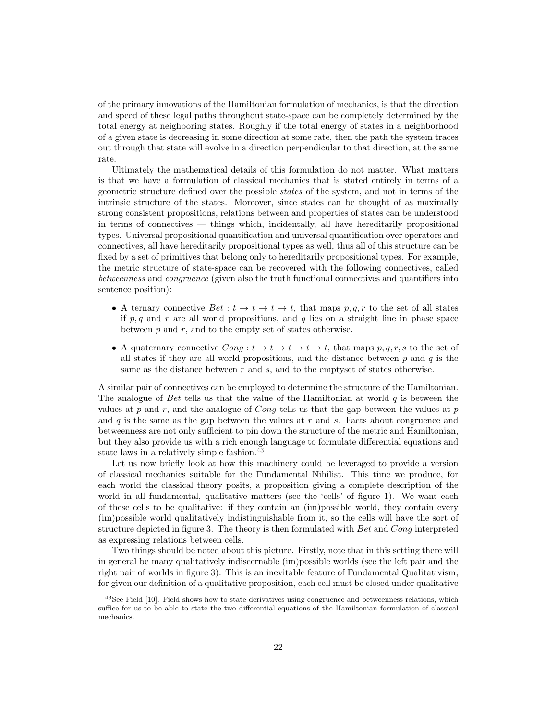of the primary innovations of the Hamiltonian formulation of mechanics, is that the direction and speed of these legal paths throughout state-space can be completely determined by the total energy at neighboring states. Roughly if the total energy of states in a neighborhood of a given state is decreasing in some direction at some rate, then the path the system traces out through that state will evolve in a direction perpendicular to that direction, at the same rate.

Ultimately the mathematical details of this formulation do not matter. What matters is that we have a formulation of classical mechanics that is stated entirely in terms of a geometric structure defined over the possible states of the system, and not in terms of the intrinsic structure of the states. Moreover, since states can be thought of as maximally strong consistent propositions, relations between and properties of states can be understood in terms of connectives — things which, incidentally, all have hereditarily propositional types. Universal propositional quantification and universal quantification over operators and connectives, all have hereditarily propositional types as well, thus all of this structure can be fixed by a set of primitives that belong only to hereditarily propositional types. For example, the metric structure of state-space can be recovered with the following connectives, called betweenness and congruence (given also the truth functional connectives and quantifiers into sentence position):

- A ternary connective  $Bet: t \to t \to t \to t$ , that maps  $p, q, r$  to the set of all states if p, q and r are all world propositions, and q lies on a straight line in phase space between  $p$  and  $r$ , and to the empty set of states otherwise.
- A quaternary connective  $Conq: t \to t \to t \to t \to t$ , that maps p, q, r, s to the set of all states if they are all world propositions, and the distance between  $p$  and  $q$  is the same as the distance between  $r$  and  $s$ , and to the emptyset of states otherwise.

A similar pair of connectives can be employed to determine the structure of the Hamiltonian. The analogue of Bet tells us that the value of the Hamiltonian at world  $q$  is between the values at  $p$  and  $r$ , and the analogue of  $Cong$  tells us that the gap between the values at  $p$ and  $q$  is the same as the gap between the values at  $r$  and  $s$ . Facts about congruence and betweenness are not only sufficient to pin down the structure of the metric and Hamiltonian, but they also provide us with a rich enough language to formulate differential equations and state laws in a relatively simple fashion.<sup>43</sup>

Let us now briefly look at how this machinery could be leveraged to provide a version of classical mechanics suitable for the Fundamental Nihilist. This time we produce, for each world the classical theory posits, a proposition giving a complete description of the world in all fundamental, qualitative matters (see the 'cells' of figure 1). We want each of these cells to be qualitative: if they contain an (im)possible world, they contain every (im)possible world qualitatively indistinguishable from it, so the cells will have the sort of structure depicted in figure 3. The theory is then formulated with  $\text{Set}$  and  $\text{Cong}$  interpreted as expressing relations between cells.

Two things should be noted about this picture. Firstly, note that in this setting there will in general be many qualitatively indiscernable (im)possible worlds (see the left pair and the right pair of worlds in figure 3). This is an inevitable feature of Fundamental Qualitativism, for given our definition of a qualitative proposition, each cell must be closed under qualitative

<sup>43</sup>See Field [10]. Field shows how to state derivatives using congruence and betweenness relations, which suffice for us to be able to state the two differential equations of the Hamiltonian formulation of classical mechanics.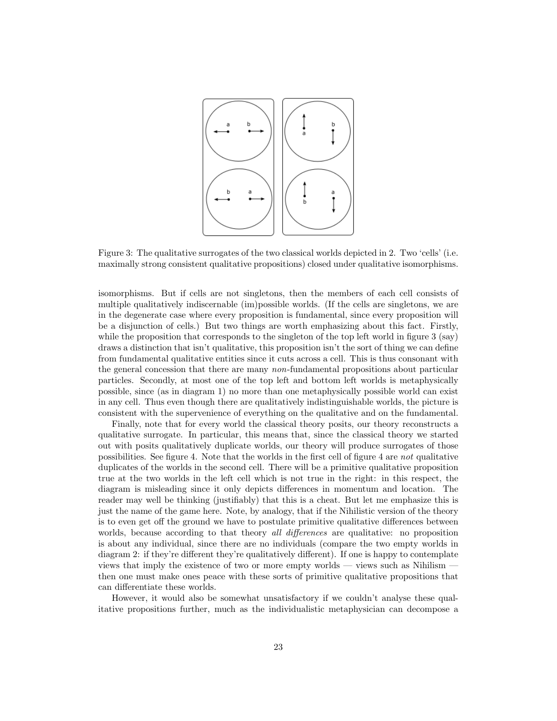

Figure 3: The qualitative surrogates of the two classical worlds depicted in 2. Two 'cells' (i.e. maximally strong consistent qualitative propositions) closed under qualitative isomorphisms.

isomorphisms. But if cells are not singletons, then the members of each cell consists of multiple qualitatively indiscernable (im)possible worlds. (If the cells are singletons, we are in the degenerate case where every proposition is fundamental, since every proposition will be a disjunction of cells.) But two things are worth emphasizing about this fact. Firstly, while the proposition that corresponds to the singleton of the top left world in figure 3 (say) draws a distinction that isn't qualitative, this proposition isn't the sort of thing we can define from fundamental qualitative entities since it cuts across a cell. This is thus consonant with the general concession that there are many *non*-fundamental propositions about particular particles. Secondly, at most one of the top left and bottom left worlds is metaphysically possible, since (as in diagram 1) no more than one metaphysically possible world can exist in any cell. Thus even though there are qualitatively indistinguishable worlds, the picture is consistent with the supervenience of everything on the qualitative and on the fundamental.

Finally, note that for every world the classical theory posits, our theory reconstructs a qualitative surrogate. In particular, this means that, since the classical theory we started out with posits qualitatively duplicate worlds, our theory will produce surrogates of those possibilities. See figure 4. Note that the worlds in the first cell of figure 4 are not qualitative duplicates of the worlds in the second cell. There will be a primitive qualitative proposition true at the two worlds in the left cell which is not true in the right: in this respect, the diagram is misleading since it only depicts differences in momentum and location. The reader may well be thinking (justifiably) that this is a cheat. But let me emphasize this is just the name of the game here. Note, by analogy, that if the Nihilistic version of the theory is to even get off the ground we have to postulate primitive qualitative differences between worlds, because according to that theory all differences are qualitative: no proposition is about any individual, since there are no individuals (compare the two empty worlds in diagram 2: if they're different they're qualitatively different). If one is happy to contemplate views that imply the existence of two or more empty worlds — views such as Nihilism then one must make ones peace with these sorts of primitive qualitative propositions that can differentiate these worlds.

However, it would also be somewhat unsatisfactory if we couldn't analyse these qualitative propositions further, much as the individualistic metaphysician can decompose a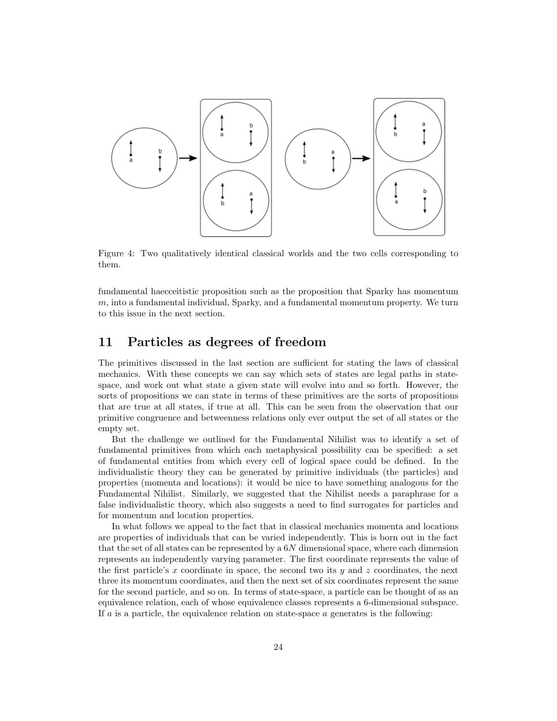

Figure 4: Two qualitatively identical classical worlds and the two cells corresponding to them.

fundamental haecceitistic proposition such as the proposition that Sparky has momentum  $m$ , into a fundamental individual, Sparky, and a fundamental momentum property. We turn to this issue in the next section.

# 11 Particles as degrees of freedom

The primitives discussed in the last section are sufficient for stating the laws of classical mechanics. With these concepts we can say which sets of states are legal paths in statespace, and work out what state a given state will evolve into and so forth. However, the sorts of propositions we can state in terms of these primitives are the sorts of propositions that are true at all states, if true at all. This can be seen from the observation that our primitive congruence and betweenness relations only ever output the set of all states or the empty set.

But the challenge we outlined for the Fundamental Nihilist was to identify a set of fundamental primitives from which each metaphysical possibility can be specified: a set of fundamental entities from which every cell of logical space could be defined. In the individualistic theory they can be generated by primitive individuals (the particles) and properties (momenta and locations): it would be nice to have something analogous for the Fundamental Nihilist. Similarly, we suggested that the Nihilist needs a paraphrase for a false individualistic theory, which also suggests a need to find surrogates for particles and for momentum and location properties.

In what follows we appeal to the fact that in classical mechanics momenta and locations are properties of individuals that can be varied independently. This is born out in the fact that the set of all states can be represented by a  $6N$  dimensional space, where each dimension represents an independently varying parameter. The first coordinate represents the value of the first particle's x coordinate in space, the second two its y and z coordinates, the next three its momentum coordinates, and then the next set of six coordinates represent the same for the second particle, and so on. In terms of state-space, a particle can be thought of as an equivalence relation, each of whose equivalence classes represents a 6-dimensional subspace. If  $a$  is a particle, the equivalence relation on state-space  $a$  generates is the following: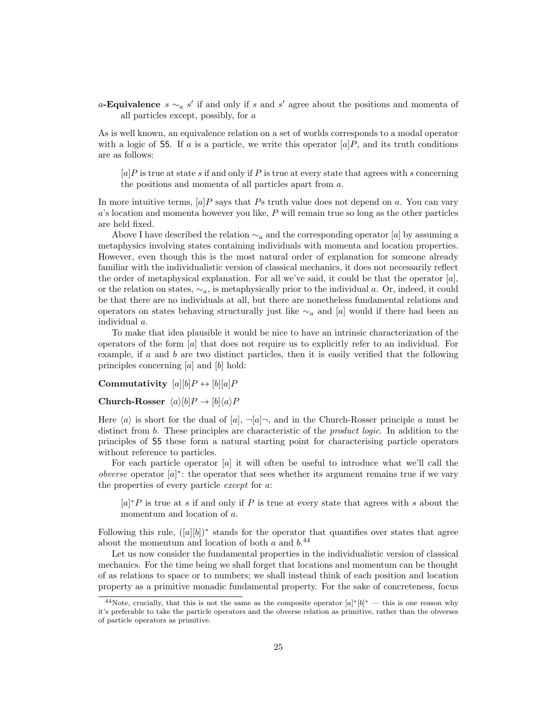a-Equivalence  $s \sim_a s'$  if and only if s and s' agree about the positions and momenta of all particles except, possibly, for a

As is well known, an equivalence relation on a set of worlds corresponds to a modal operator with a logic of **S5**. If a is a particle, we write this operator  $[a]P$ , and its truth conditions are as follows:

 $[a]P$  is true at state s if and only if P is true at every state that agrees with s concerning the positions and momenta of all particles apart from a.

In more intuitive terms,  $[a]P$  says that Ps truth value does not depend on a. You can vary  $a$ 's location and momenta however you like,  $P$  will remain true so long as the other particles are held fixed.

Above I have described the relation  $\sim_a$  and the corresponding operator [a] by assuming a metaphysics involving states containing individuals with momenta and location properties. However, even though this is the most natural order of explanation for someone already familiar with the individualistic version of classical mechanics, it does not necessarily reflect the order of metaphysical explanation. For all we've said, it could be that the operator  $[a]$ , or the relation on states,  $\sim_a$ , is metaphysically prior to the individual a. Or, indeed, it could be that there are no individuals at all, but there are nonetheless fundamental relations and operators on states behaving structurally just like  $\sim_a$  and [a] would if there had been an individual a.

To make that idea plausible it would be nice to have an intrinsic characterization of the operators of the form  $[a]$  that does not require us to explicitly refer to an individual. For example, if  $a$  and  $b$  are two distinct particles, then it is easily verified that the following principles concerning  $[a]$  and  $[b]$  hold:

Commutativity  $[a][b]P \leftrightarrow [b][a]P$ 

Church-Rosser  $\langle a \rangle[b]P \rightarrow [b]\langle a \rangle P$ 

Here  $\langle a \rangle$  is short for the dual of  $[a]$ ,  $\neg [a]$ , and in the Church-Rosser principle a must be distinct from b. These principles are characteristic of the *product logic*. In addition to the principles of S5 these form a natural starting point for characterising particle operators without reference to particles.

For each particle operator [a] it will often be useful to introduce what we'll call the *obverse* operator  $[a]^*$ : the operator that sees whether its argument remains true if we vary the properties of every particle except for a:

 $[a]^*P$  is true at s if and only if P is true at every state that agrees with s about the momentum and location of a.

Following this rule,  $([a][b])^*$  stands for the operator that quantifies over states that agree about the momentum and location of both  $a$  and  $b$ .<sup>44</sup>

Let us now consider the fundamental properties in the individualistic version of classical mechanics. For the time being we shall forget that locations and momentum can be thought of as relations to space or to numbers; we shall instead think of each position and location property as a primitive monadic fundamental property. For the sake of concreteness, focus

<sup>&</sup>lt;sup>44</sup>Note, crucially, that this is not the same as the composite operator  $[a]^*|b]^*$  — this is one reason why it's preferable to take the particle operators and the obverse relation as primitive, rather than the obverses of particle operators as primitive.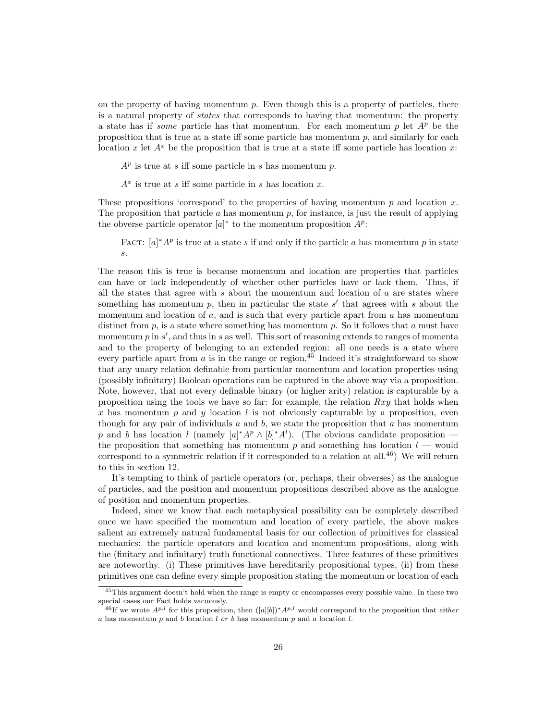on the property of having momentum  $p$ . Even though this is a property of particles, there is a natural property of states that corresponds to having that momentum: the property a state has if some particle has that momentum. For each momentum p let  $A^p$  be the proposition that is true at a state iff some particle has momentum  $p$ , and similarly for each location x let  $A^x$  be the proposition that is true at a state iff some particle has location x:

 $A<sup>p</sup>$  is true at s iff some particle in s has momentum p.

 $A<sup>x</sup>$  is true at s iff some particle in s has location x.

These propositions 'correspond' to the properties of having momentum  $p$  and location  $x$ . The proposition that particle a has momentum  $p$ , for instance, is just the result of applying the obverse particle operator  $[a]^*$  to the momentum proposition  $A^p$ :

FACT:  $[a]^*A^p$  is true at a state s if and only if the particle a has momentum p in state s.

The reason this is true is because momentum and location are properties that particles can have or lack independently of whether other particles have or lack them. Thus, if all the states that agree with s about the momentum and location of  $a$  are states where something has momentum  $p$ , then in particular the state  $s'$  that agrees with s about the momentum and location of  $a$ , and is such that every particle apart from  $a$  has momentum distinct from  $p$ , is a state where something has momentum  $p$ . So it follows that a must have momentum  $p$  in  $s'$ , and thus in  $s$  as well. This sort of reasoning extends to ranges of momenta and to the property of belonging to an extended region: all one needs is a state where every particle apart from a is in the range or region.<sup>45</sup> Indeed it's straightforward to show that any unary relation definable from particular momentum and location properties using (possibly infinitary) Boolean operations can be captured in the above way via a proposition. Note, however, that not every definable binary (or higher arity) relation is capturable by a proposition using the tools we have so far: for example, the relation  $Rxy$  that holds when x has momentum p and y location l is not obviously capturable by a proposition, even though for any pair of individuals  $a$  and  $b$ , we state the proposition that  $a$  has momentum p and b has location l (namely  $[a]^*A^p \wedge [b]^*A^l$ ). (The obvious candidate proposition the proposition that something has momentum  $p$  and something has location  $l$  — would correspond to a symmetric relation if it corresponded to a relation at all.<sup>46</sup>) We will return to this in section 12.

It's tempting to think of particle operators (or, perhaps, their obverses) as the analogue of particles, and the position and momentum propositions described above as the analogue of position and momentum properties.

Indeed, since we know that each metaphysical possibility can be completely described once we have specified the momentum and location of every particle, the above makes salient an extremely natural fundamental basis for our collection of primitives for classical mechanics: the particle operators and location and momentum propositions, along with the (finitary and infinitary) truth functional connectives. Three features of these primitives are noteworthy. (i) These primitives have hereditarily propositional types, (ii) from these primitives one can define every simple proposition stating the momentum or location of each

<sup>&</sup>lt;sup>45</sup>This argument doesn't hold when the range is empty or encompasses every possible value. In these two special cases our Fact holds vacuously.

<sup>&</sup>lt;sup>46</sup>If we wrote  $A^{p,l}$  for this proposition, then  $([a][b])^*A^{p,l}$  would correspond to the proposition that *either* a has momentum  $p$  and  $b$  location  $l$  or  $b$  has momentum  $p$  and  $a$  location  $l$ .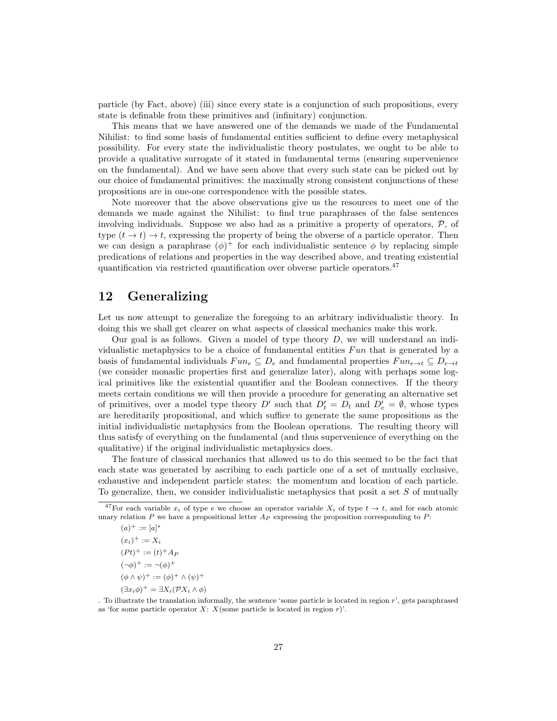particle (by Fact, above) (iii) since every state is a conjunction of such propositions, every state is definable from these primitives and (infinitary) conjunction.

This means that we have answered one of the demands we made of the Fundamental Nihilist: to find some basis of fundamental entities sufficient to define every metaphysical possibility. For every state the individualistic theory postulates, we ought to be able to provide a qualitative surrogate of it stated in fundamental terms (ensuring supervenience on the fundamental). And we have seen above that every such state can be picked out by our choice of fundamental primitives: the maximally strong consistent conjunctions of these propositions are in one-one correspondence with the possible states.

Note moreover that the above observations give us the resources to meet one of the demands we made against the Nihilist: to find true paraphrases of the false sentences involving individuals. Suppose we also had as a primitive a property of operators,  $P$ , of type  $(t \to t) \to t$ , expressing the property of being the obverse of a particle operator. Then we can design a paraphrase  $(\phi)^+$  for each individualistic sentence  $\phi$  by replacing simple predications of relations and properties in the way described above, and treating existential quantification via restricted quantification over obverse particle operators.<sup>47</sup>

### 12 Generalizing

Let us now attempt to generalize the foregoing to an arbitrary individualistic theory. In doing this we shall get clearer on what aspects of classical mechanics make this work.

Our goal is as follows. Given a model of type theory  $D$ , we will understand an individualistic metaphysics to be a choice of fundamental entities  $Fun$  that is generated by a basis of fundamental individuals  $Fun_{e} \subseteq D_{e}$  and fundamental properties  $Fun_{e\to t} \subseteq D_{e\to t}$ (we consider monadic properties first and generalize later), along with perhaps some logical primitives like the existential quantifier and the Boolean connectives. If the theory meets certain conditions we will then provide a procedure for generating an alternative set of primitives, over a model type theory D' such that  $D'_t = D_t$  and  $D'_e = \emptyset$ , whose types are hereditarily propositional, and which suffice to generate the same propositions as the initial individualistic metaphysics from the Boolean operations. The resulting theory will thus satisfy of everything on the fundamental (and thus supervenience of everything on the qualitative) if the original individualistic metaphysics does.

The feature of classical mechanics that allowed us to do this seemed to be the fact that each state was generated by ascribing to each particle one of a set of mutually exclusive, exhaustive and independent particle states: the momentum and location of each particle. To generalize, then, we consider individualistic metaphysics that posit a set  $S$  of mutually

 $(a)^+ := [a]^*$  $(x_i)^+ := X_i$  $(Pt)^+ := (t)^+ A_F$  $(\neg \phi)^+ := \neg (\phi)^+$  $(\phi \land \psi)^+ := (\phi)^+ \land (\psi)^+$  $(\exists x_i \phi)^+ = \exists X_i (\mathcal{P} X_i \wedge \phi)$ 

. To illustrate the translation informally, the sentence 'some particle is located in region  $r$ ', gets paraphrased as 'for some particle operator  $X: X$ (some particle is located in region r)'.

<sup>&</sup>lt;sup>47</sup>For each variable  $x_i$  of type e we choose an operator variable  $X_i$  of type  $t \to t$ , and for each atomic unary relation P we have a propositional letter  $A_P$  expressing the proposition corresponding to P: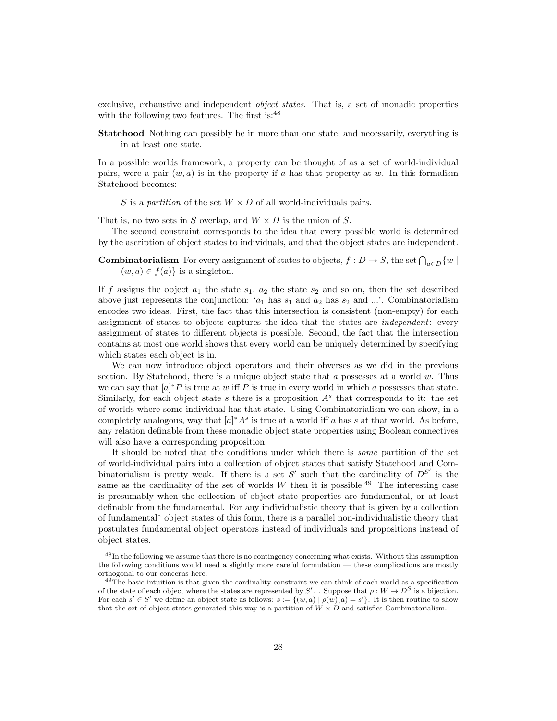exclusive, exhaustive and independent *object states*. That is, a set of monadic properties with the following two features. The first is:  $48$ 

Statehood Nothing can possibly be in more than one state, and necessarily, everything is in at least one state.

In a possible worlds framework, a property can be thought of as a set of world-individual pairs, were a pair  $(w, a)$  is in the property if a has that property at w. In this formalism Statehood becomes:

S is a partition of the set  $W \times D$  of all world-individuals pairs.

That is, no two sets in S overlap, and  $W \times D$  is the union of S.

The second constraint corresponds to the idea that every possible world is determined by the ascription of object states to individuals, and that the object states are independent.

**Combinatorialism** For every assignment of states to objects,  $f: D \to S$ , the set  $\bigcap_{a \in D} \{w \mid$  $(w, a) \in f(a)$  is a singleton.

If f assigns the object  $a_1$  the state  $s_1$ ,  $a_2$  the state  $s_2$  and so on, then the set described above just represents the conjunction: ' $a_1$  has  $s_1$  and  $a_2$  has  $s_2$  and ...'. Combinatorialism encodes two ideas. First, the fact that this intersection is consistent (non-empty) for each assignment of states to objects captures the idea that the states are *independent*: every assignment of states to different objects is possible. Second, the fact that the intersection contains at most one world shows that every world can be uniquely determined by specifying which states each object is in.

We can now introduce object operators and their obverses as we did in the previous section. By Statehood, there is a unique object state that a possesses at a world w. Thus we can say that  $[a]^*P$  is true at w iff P is true in every world in which a possesses that state. Similarly, for each object state  $s$  there is a proposition  $A<sup>s</sup>$  that corresponds to it: the set of worlds where some individual has that state. Using Combinatorialism we can show, in a completely analogous, way that  $[a]^*A^s$  is true at a world iff a has s at that world. As before, any relation definable from these monadic object state properties using Boolean connectives will also have a corresponding proposition.

It should be noted that the conditions under which there is some partition of the set of world-individual pairs into a collection of object states that satisfy Statehood and Combinatorialism is pretty weak. If there is a set  $S'$  such that the cardinality of  $D^{S'}$  is the same as the cardinality of the set of worlds  $W$  then it is possible.<sup>49</sup> The interesting case is presumably when the collection of object state properties are fundamental, or at least definable from the fundamental. For any individualistic theory that is given by a collection of fundamental<sup>∗</sup> object states of this form, there is a parallel non-individualistic theory that postulates fundamental object operators instead of individuals and propositions instead of object states.

<sup>48</sup>In the following we assume that there is no contingency concerning what exists. Without this assumption the following conditions would need a slightly more careful formulation — these complications are mostly orthogonal to our concerns here.

 $49$ The basic intuition is that given the cardinality constraint we can think of each world as a specification of the state of each object where the states are represented by S'. . Suppose that  $\rho: W \to D^S$  is a bijection. For each  $s' \in S'$  we define an object state as follows:  $s := \{(w, a) \mid \rho(w)(a) = s'\}.$  It is then routine to show that the set of object states generated this way is a partition of  $W \times D$  and satisfies Combinatorialism.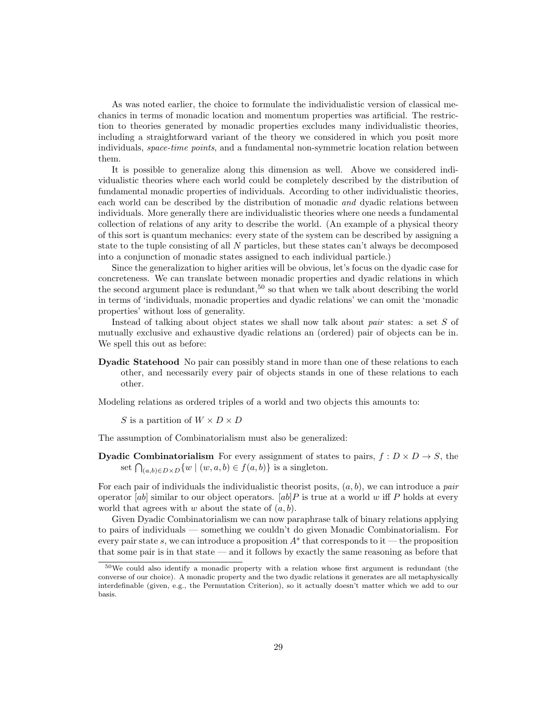As was noted earlier, the choice to formulate the individualistic version of classical mechanics in terms of monadic location and momentum properties was artificial. The restriction to theories generated by monadic properties excludes many individualistic theories, including a straightforward variant of the theory we considered in which you posit more individuals, *space-time points*, and a fundamental non-symmetric location relation between them.

It is possible to generalize along this dimension as well. Above we considered individualistic theories where each world could be completely described by the distribution of fundamental monadic properties of individuals. According to other individualistic theories, each world can be described by the distribution of monadic *and* dyadic relations between individuals. More generally there are individualistic theories where one needs a fundamental collection of relations of any arity to describe the world. (An example of a physical theory of this sort is quantum mechanics: every state of the system can be described by assigning a state to the tuple consisting of all N particles, but these states can't always be decomposed into a conjunction of monadic states assigned to each individual particle.)

Since the generalization to higher arities will be obvious, let's focus on the dyadic case for concreteness. We can translate between monadic properties and dyadic relations in which the second argument place is redundant,  $50$  so that when we talk about describing the world in terms of 'individuals, monadic properties and dyadic relations' we can omit the 'monadic properties' without loss of generality.

Instead of talking about object states we shall now talk about pair states: a set S of mutually exclusive and exhaustive dyadic relations an (ordered) pair of objects can be in. We spell this out as before:

Dyadic Statehood No pair can possibly stand in more than one of these relations to each other, and necessarily every pair of objects stands in one of these relations to each other.

Modeling relations as ordered triples of a world and two objects this amounts to:

S is a partition of  $W \times D \times D$ 

The assumption of Combinatorialism must also be generalized:

**Dyadic Combinatorialism** For every assignment of states to pairs,  $f: D \times D \rightarrow S$ , the set  $\bigcap_{(a,b)\in D\times D} \{w \mid (w,a,b)\in f(a,b)\}\$ is a singleton.

For each pair of individuals the individualistic theorist posits,  $(a, b)$ , we can introduce a *pair* operator [ab] similar to our object operators. [ab]P is true at a world w iff P holds at every world that agrees with w about the state of  $(a, b)$ .

Given Dyadic Combinatorialism we can now paraphrase talk of binary relations applying to pairs of individuals — something we couldn't do given Monadic Combinatorialism. For every pair state s, we can introduce a proposition  $A^s$  that corresponds to it — the proposition that some pair is in that state — and it follows by exactly the same reasoning as before that

<sup>50</sup>We could also identify a monadic property with a relation whose first argument is redundant (the converse of our choice). A monadic property and the two dyadic relations it generates are all metaphysically interdefinable (given, e.g., the Permutation Criterion), so it actually doesn't matter which we add to our basis.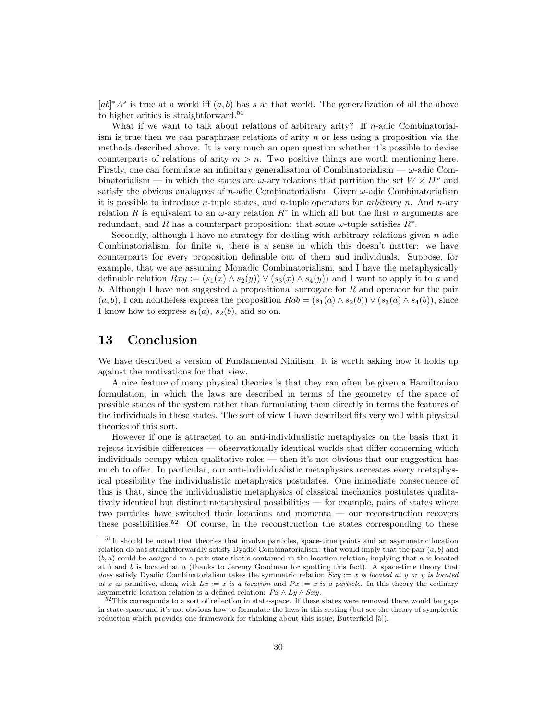$[ab]^*A^s$  is true at a world iff  $(a, b)$  has s at that world. The generalization of all the above to higher arities is straightforward.<sup>51</sup>

What if we want to talk about relations of arbitrary arity? If  $n$ -adic Combinatorialism is true then we can paraphrase relations of arity n or less using a proposition via the methods described above. It is very much an open question whether it's possible to devise counterparts of relations of arity  $m > n$ . Two positive things are worth mentioning here. Firstly, one can formulate an infinitary generalisation of Combinatorialism  $-\omega$ -adic Combinatorialism — in which the states are  $\omega$ -ary relations that partition the set  $W \times D^{\omega}$  and satisfy the obvious analogues of *n*-adic Combinatorialism. Given  $\omega$ -adic Combinatorialism it is possible to introduce *n*-tuple states, and *n*-tuple operators for *arbitrary n*. And *n*-ary relation R is equivalent to an  $\omega$ -ary relation  $R^*$  in which all but the first n arguments are redundant, and R has a counterpart proposition: that some  $\omega$ -tuple satisfies  $R^*$ .

Secondly, although I have no strategy for dealing with arbitrary relations given  $n$ -adic Combinatorialism, for finite n, there is a sense in which this doesn't matter: we have counterparts for every proposition definable out of them and individuals. Suppose, for example, that we are assuming Monadic Combinatorialism, and I have the metaphysically definable relation  $Rxy := (s_1(x) \wedge s_2(y)) \vee (s_3(x) \wedge s_4(y))$  and I want to apply it to a and b. Although I have not suggested a propositional surrogate for  $R$  and operator for the pair  $(a, b)$ , I can nontheless express the proposition  $Rab = (s_1(a) \wedge s_2(b)) \vee (s_3(a) \wedge s_4(b))$ , since I know how to express  $s_1(a)$ ,  $s_2(b)$ , and so on.

### 13 Conclusion

We have described a version of Fundamental Nihilism. It is worth asking how it holds up against the motivations for that view.

A nice feature of many physical theories is that they can often be given a Hamiltonian formulation, in which the laws are described in terms of the geometry of the space of possible states of the system rather than formulating them directly in terms the features of the individuals in these states. The sort of view I have described fits very well with physical theories of this sort.

However if one is attracted to an anti-individualistic metaphysics on the basis that it rejects invisible differences — observationally identical worlds that differ concerning which individuals occupy which qualitative roles — then it's not obvious that our suggestion has much to offer. In particular, our anti-individualistic metaphysics recreates every metaphysical possibility the individualistic metaphysics postulates. One immediate consequence of this is that, since the individualistic metaphysics of classical mechanics postulates qualitatively identical but distinct metaphysical possibilities — for example, pairs of states where two particles have switched their locations and momenta — our reconstruction recovers these possibilities.<sup>52</sup> Of course, in the reconstruction the states corresponding to these

<sup>51</sup>It should be noted that theories that involve particles, space-time points and an asymmetric location relation do not straightforwardly satisfy Dyadic Combinatorialism: that would imply that the pair  $(a, b)$  and  $(b, a)$  could be assigned to a pair state that's contained in the location relation, implying that a is located at b and b is located at a (thanks to Jeremy Goodman for spotting this fact). A space-time theory that does satisfy Dyadic Combinatorialism takes the symmetric relation  $Sxy := x$  is located at y or y is located at x as primitive, along with  $Lx := x$  is a location and  $Px := x$  is a particle. In this theory the ordinary asymmetric location relation is a defined relation:  $Px \wedge Ly \wedge Sxy$ .

<sup>&</sup>lt;sup>52</sup>This corresponds to a sort of reflection in state-space. If these states were removed there would be gaps in state-space and it's not obvious how to formulate the laws in this setting (but see the theory of symplectic reduction which provides one framework for thinking about this issue; Butterfield [5]).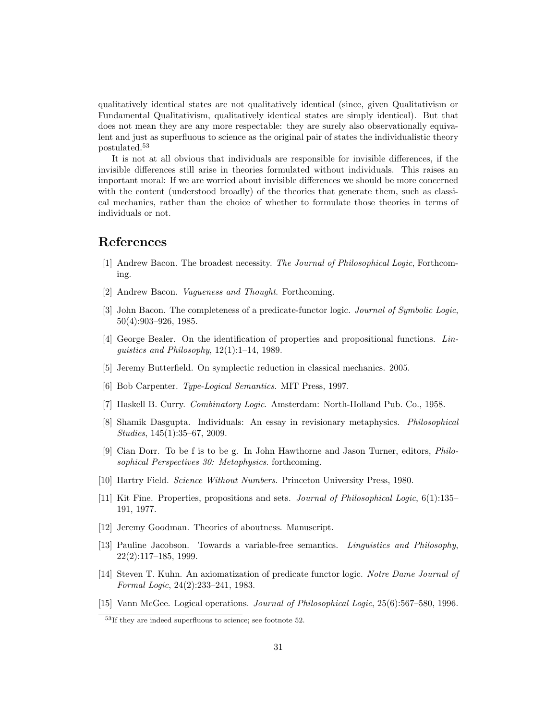qualitatively identical states are not qualitatively identical (since, given Qualitativism or Fundamental Qualitativism, qualitatively identical states are simply identical). But that does not mean they are any more respectable: they are surely also observationally equivalent and just as superfluous to science as the original pair of states the individualistic theory postulated.<sup>53</sup>

It is not at all obvious that individuals are responsible for invisible differences, if the invisible differences still arise in theories formulated without individuals. This raises an important moral: If we are worried about invisible differences we should be more concerned with the content (understood broadly) of the theories that generate them, such as classical mechanics, rather than the choice of whether to formulate those theories in terms of individuals or not.

### References

- [1] Andrew Bacon. The broadest necessity. The Journal of Philosophical Logic, Forthcoming.
- [2] Andrew Bacon. Vagueness and Thought. Forthcoming.
- [3] John Bacon. The completeness of a predicate-functor logic. Journal of Symbolic Logic, 50(4):903–926, 1985.
- [4] George Bealer. On the identification of properties and propositional functions. Linguistics and Philosophy, 12(1):1–14, 1989.
- [5] Jeremy Butterfield. On symplectic reduction in classical mechanics. 2005.
- [6] Bob Carpenter. Type-Logical Semantics. MIT Press, 1997.
- [7] Haskell B. Curry. Combinatory Logic. Amsterdam: North-Holland Pub. Co., 1958.
- [8] Shamik Dasgupta. Individuals: An essay in revisionary metaphysics. Philosophical Studies, 145(1):35–67, 2009.
- [9] Cian Dorr. To be f is to be g. In John Hawthorne and Jason Turner, editors, Philosophical Perspectives 30: Metaphysics. forthcoming.
- [10] Hartry Field. Science Without Numbers. Princeton University Press, 1980.
- [11] Kit Fine. Properties, propositions and sets. Journal of Philosophical Logic, 6(1):135– 191, 1977.
- [12] Jeremy Goodman. Theories of aboutness. Manuscript.
- [13] Pauline Jacobson. Towards a variable-free semantics. Linguistics and Philosophy, 22(2):117–185, 1999.
- [14] Steven T. Kuhn. An axiomatization of predicate functor logic. Notre Dame Journal of Formal Logic, 24(2):233–241, 1983.
- [15] Vann McGee. Logical operations. Journal of Philosophical Logic, 25(6):567–580, 1996.

<sup>53</sup>If they are indeed superfluous to science; see footnote 52.